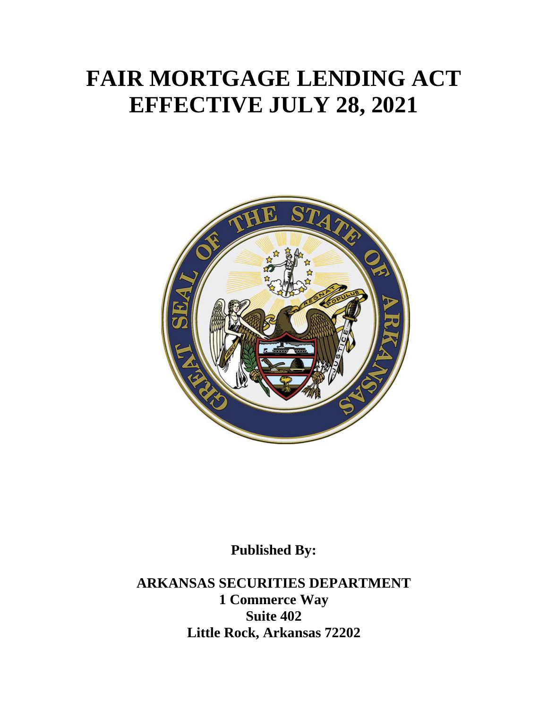# **FAIR MORTGAGE LENDING ACT EFFECTIVE JULY 28, 2021**



**Published By:**

**ARKANSAS SECURITIES DEPARTMENT 1 Commerce Way Suite 402 Little Rock, Arkansas 72202**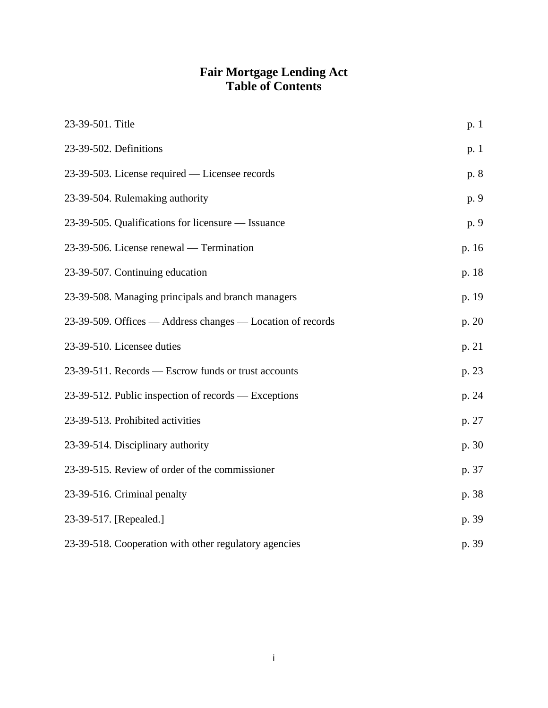# **Fair Mortgage Lending Act Table of Contents**

| 23-39-501. Title                                           | p. 1  |
|------------------------------------------------------------|-------|
| 23-39-502. Definitions                                     | p. 1  |
| 23-39-503. License required — Licensee records             | p. 8  |
| 23-39-504. Rulemaking authority                            | p. 9  |
| 23-39-505. Qualifications for licensure — Issuance         | p. 9  |
| 23-39-506. License renewal — Termination                   | p. 16 |
| 23-39-507. Continuing education                            | p. 18 |
| 23-39-508. Managing principals and branch managers         | p. 19 |
| 23-39-509. Offices — Address changes — Location of records | p. 20 |
| 23-39-510. Licensee duties                                 | p. 21 |
| 23-39-511. Records — Escrow funds or trust accounts        | p. 23 |
| 23-39-512. Public inspection of records — Exceptions       | p. 24 |
| 23-39-513. Prohibited activities                           | p. 27 |
| 23-39-514. Disciplinary authority                          | p. 30 |
| 23-39-515. Review of order of the commissioner             | p. 37 |
| 23-39-516. Criminal penalty                                | p. 38 |
| 23-39-517. [Repealed.]                                     | p. 39 |
| 23-39-518. Cooperation with other regulatory agencies      | p. 39 |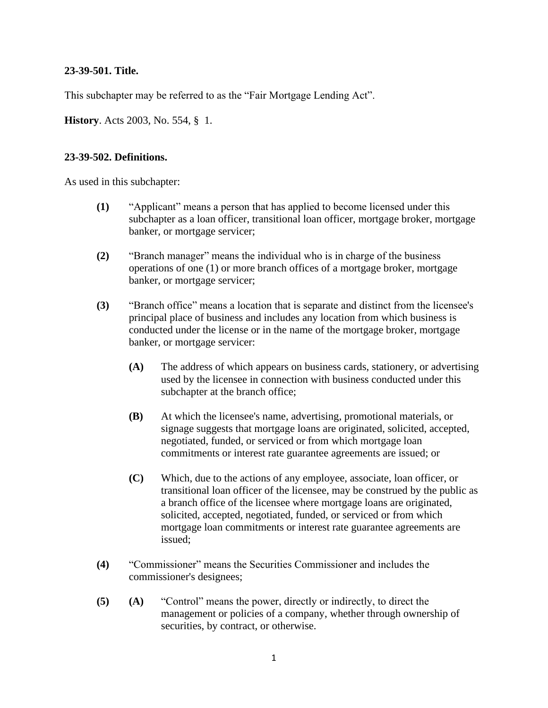#### **23-39-501. Title.**

This subchapter may be referred to as the "Fair Mortgage Lending Act".

**History**. Acts 2003, No. 554, § 1.

#### **23-39-502. Definitions.**

As used in this subchapter:

- **(1)** "Applicant" means a person that has applied to become licensed under this subchapter as a loan officer, transitional loan officer, mortgage broker, mortgage banker, or mortgage servicer;
- **(2)** "Branch manager" means the individual who is in charge of the business operations of one (1) or more branch offices of a mortgage broker, mortgage banker, or mortgage servicer;
- **(3)** "Branch office" means a location that is separate and distinct from the licensee's principal place of business and includes any location from which business is conducted under the license or in the name of the mortgage broker, mortgage banker, or mortgage servicer:
	- **(A)** The address of which appears on business cards, stationery, or advertising used by the licensee in connection with business conducted under this subchapter at the branch office;
	- **(B)** At which the licensee's name, advertising, promotional materials, or signage suggests that mortgage loans are originated, solicited, accepted, negotiated, funded, or serviced or from which mortgage loan commitments or interest rate guarantee agreements are issued; or
	- **(C)** Which, due to the actions of any employee, associate, loan officer, or transitional loan officer of the licensee, may be construed by the public as a branch office of the licensee where mortgage loans are originated, solicited, accepted, negotiated, funded, or serviced or from which mortgage loan commitments or interest rate guarantee agreements are issued;
- **(4)** "Commissioner" means the Securities Commissioner and includes the commissioner's designees;
- **(5) (A)** "Control" means the power, directly or indirectly, to direct the management or policies of a company, whether through ownership of securities, by contract, or otherwise.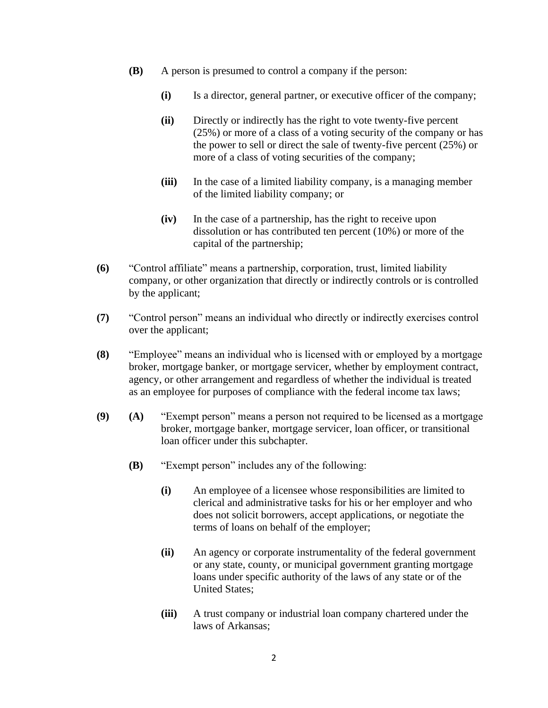- **(B)** A person is presumed to control a company if the person:
	- **(i)** Is a director, general partner, or executive officer of the company;
	- **(ii)** Directly or indirectly has the right to vote twenty-five percent (25%) or more of a class of a voting security of the company or has the power to sell or direct the sale of twenty-five percent (25%) or more of a class of voting securities of the company;
	- **(iii)** In the case of a limited liability company, is a managing member of the limited liability company; or
	- **(iv)** In the case of a partnership, has the right to receive upon dissolution or has contributed ten percent (10%) or more of the capital of the partnership;
- **(6)** "Control affiliate" means a partnership, corporation, trust, limited liability company, or other organization that directly or indirectly controls or is controlled by the applicant;
- **(7)** "Control person" means an individual who directly or indirectly exercises control over the applicant;
- **(8)** "Employee" means an individual who is licensed with or employed by a mortgage broker, mortgage banker, or mortgage servicer, whether by employment contract, agency, or other arrangement and regardless of whether the individual is treated as an employee for purposes of compliance with the federal income tax laws;
- **(9) (A)** "Exempt person" means a person not required to be licensed as a mortgage broker, mortgage banker, mortgage servicer, loan officer, or transitional loan officer under this subchapter.
	- **(B)** "Exempt person" includes any of the following:
		- **(i)** An employee of a licensee whose responsibilities are limited to clerical and administrative tasks for his or her employer and who does not solicit borrowers, accept applications, or negotiate the terms of loans on behalf of the employer;
		- **(ii)** An agency or corporate instrumentality of the federal government or any state, county, or municipal government granting mortgage loans under specific authority of the laws of any state or of the United States;
		- **(iii)** A trust company or industrial loan company chartered under the laws of Arkansas;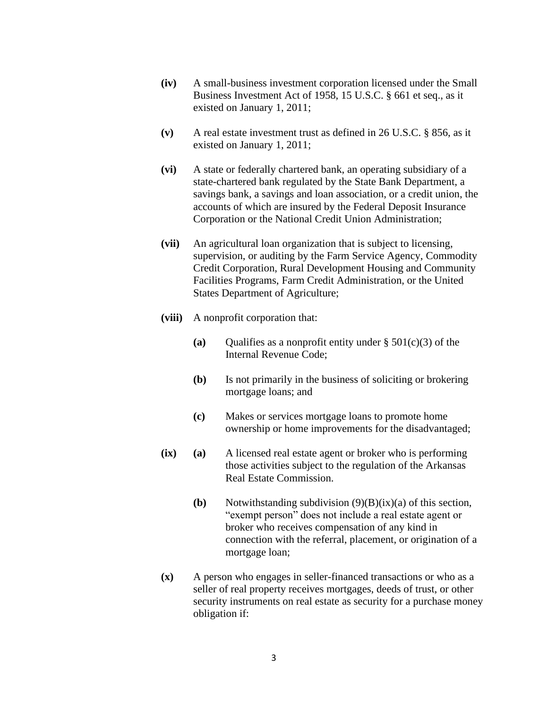- **(iv)** A small-business investment corporation licensed under the Small Business Investment Act of 1958, 15 U.S.C. § 661 et seq., as it existed on January 1, 2011;
- **(v)** A real estate investment trust as defined in 26 U.S.C. § 856, as it existed on January 1, 2011;
- **(vi)** A state or federally chartered bank, an operating subsidiary of a state-chartered bank regulated by the State Bank Department, a savings bank, a savings and loan association, or a credit union, the accounts of which are insured by the Federal Deposit Insurance Corporation or the National Credit Union Administration;
- **(vii)** An agricultural loan organization that is subject to licensing, supervision, or auditing by the Farm Service Agency, Commodity Credit Corporation, Rural Development Housing and Community Facilities Programs, Farm Credit Administration, or the United States Department of Agriculture;
- **(viii)** A nonprofit corporation that:
	- **(a)** Qualifies as a nonprofit entity under  $\S 501(c)(3)$  of the Internal Revenue Code;
	- **(b)** Is not primarily in the business of soliciting or brokering mortgage loans; and
	- **(c)** Makes or services mortgage loans to promote home ownership or home improvements for the disadvantaged;
- **(ix) (a)** A licensed real estate agent or broker who is performing those activities subject to the regulation of the Arkansas Real Estate Commission.
	- **(b)** Notwithstanding subdivision (9)(B)(ix)(a) of this section, "exempt person" does not include a real estate agent or broker who receives compensation of any kind in connection with the referral, placement, or origination of a mortgage loan;
- **(x)** A person who engages in seller-financed transactions or who as a seller of real property receives mortgages, deeds of trust, or other security instruments on real estate as security for a purchase money obligation if: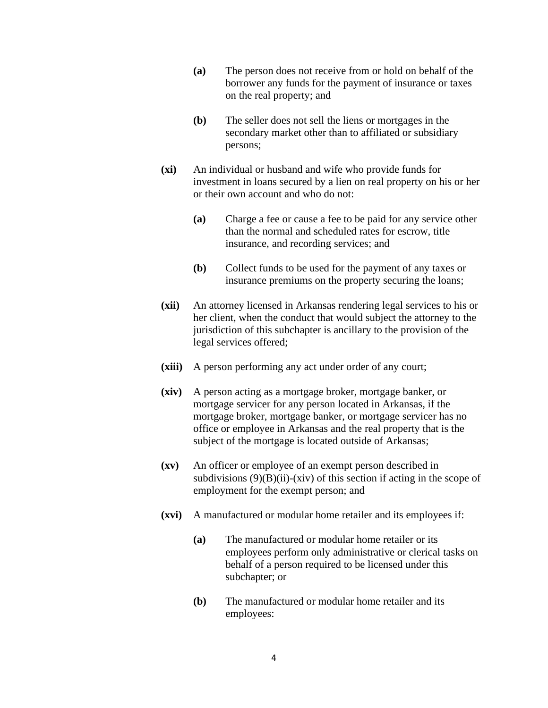- **(a)** The person does not receive from or hold on behalf of the borrower any funds for the payment of insurance or taxes on the real property; and
- **(b)** The seller does not sell the liens or mortgages in the secondary market other than to affiliated or subsidiary persons;
- **(xi)** An individual or husband and wife who provide funds for investment in loans secured by a lien on real property on his or her or their own account and who do not:
	- **(a)** Charge a fee or cause a fee to be paid for any service other than the normal and scheduled rates for escrow, title insurance, and recording services; and
	- **(b)** Collect funds to be used for the payment of any taxes or insurance premiums on the property securing the loans;
- **(xii)** An attorney licensed in Arkansas rendering legal services to his or her client, when the conduct that would subject the attorney to the jurisdiction of this subchapter is ancillary to the provision of the legal services offered;
- **(xiii)** A person performing any act under order of any court;
- **(xiv)** A person acting as a mortgage broker, mortgage banker, or mortgage servicer for any person located in Arkansas, if the mortgage broker, mortgage banker, or mortgage servicer has no office or employee in Arkansas and the real property that is the subject of the mortgage is located outside of Arkansas;
- **(xv)** An officer or employee of an exempt person described in subdivisions  $(9)(B)(ii)$ -(xiv) of this section if acting in the scope of employment for the exempt person; and
- **(xvi)** A manufactured or modular home retailer and its employees if:
	- **(a)** The manufactured or modular home retailer or its employees perform only administrative or clerical tasks on behalf of a person required to be licensed under this subchapter; or
	- **(b)** The manufactured or modular home retailer and its employees: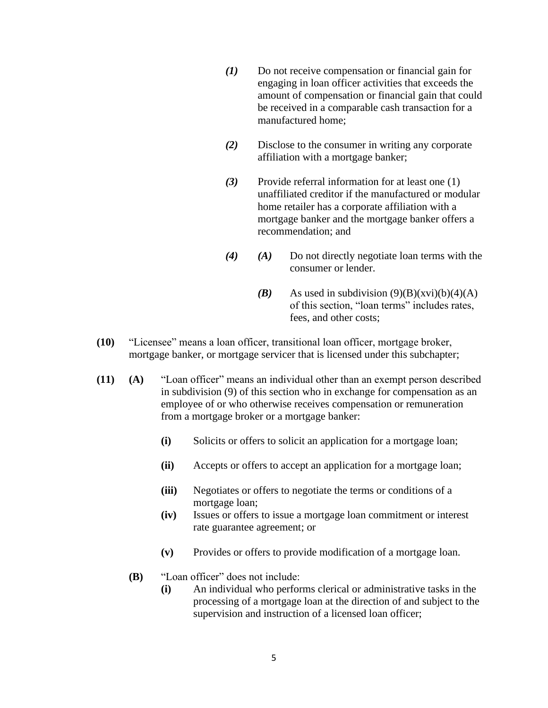- *(1)* Do not receive compensation or financial gain for engaging in loan officer activities that exceeds the amount of compensation or financial gain that could be received in a comparable cash transaction for a manufactured home;
- *(2)* Disclose to the consumer in writing any corporate affiliation with a mortgage banker;
- *(3)* Provide referral information for at least one (1) unaffiliated creditor if the manufactured or modular home retailer has a corporate affiliation with a mortgage banker and the mortgage banker offers a recommendation; and
- *(4) (A)* Do not directly negotiate loan terms with the consumer or lender.
	- **(B)** As used in subdivision  $(9)(B)(xvi)(b)(4)(A)$ of this section, "loan terms" includes rates, fees, and other costs;
- **(10)** "Licensee" means a loan officer, transitional loan officer, mortgage broker, mortgage banker, or mortgage servicer that is licensed under this subchapter;
- **(11) (A)** "Loan officer" means an individual other than an exempt person described in subdivision (9) of this section who in exchange for compensation as an employee of or who otherwise receives compensation or remuneration from a mortgage broker or a mortgage banker:
	- **(i)** Solicits or offers to solicit an application for a mortgage loan;
	- **(ii)** Accepts or offers to accept an application for a mortgage loan;
	- **(iii)** Negotiates or offers to negotiate the terms or conditions of a mortgage loan;
	- **(iv)** Issues or offers to issue a mortgage loan commitment or interest rate guarantee agreement; or
	- **(v)** Provides or offers to provide modification of a mortgage loan.
	- **(B)** "Loan officer" does not include:
		- **(i)** An individual who performs clerical or administrative tasks in the processing of a mortgage loan at the direction of and subject to the supervision and instruction of a licensed loan officer;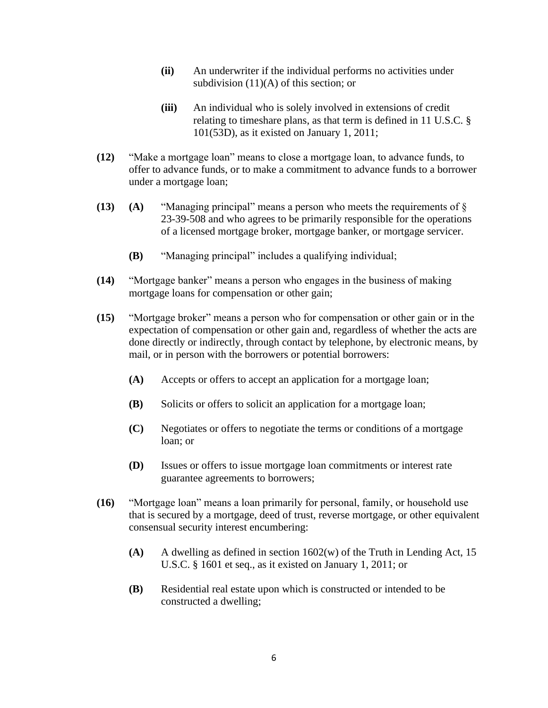- **(ii)** An underwriter if the individual performs no activities under subdivision (11)(A) of this section; or
- **(iii)** An individual who is solely involved in extensions of credit relating to timeshare plans, as that term is defined in 11 U.S.C. § 101(53D), as it existed on January 1, 2011;
- **(12)** "Make a mortgage loan" means to close a mortgage loan, to advance funds, to offer to advance funds, or to make a commitment to advance funds to a borrower under a mortgage loan;
- **(13) (A)** "Managing principal" means a person who meets the requirements of § 23-39-508 and who agrees to be primarily responsible for the operations of a licensed mortgage broker, mortgage banker, or mortgage servicer.
	- **(B)** "Managing principal" includes a qualifying individual;
- **(14)** "Mortgage banker" means a person who engages in the business of making mortgage loans for compensation or other gain;
- **(15)** "Mortgage broker" means a person who for compensation or other gain or in the expectation of compensation or other gain and, regardless of whether the acts are done directly or indirectly, through contact by telephone, by electronic means, by mail, or in person with the borrowers or potential borrowers:
	- **(A)** Accepts or offers to accept an application for a mortgage loan;
	- **(B)** Solicits or offers to solicit an application for a mortgage loan;
	- **(C)** Negotiates or offers to negotiate the terms or conditions of a mortgage loan; or
	- **(D)** Issues or offers to issue mortgage loan commitments or interest rate guarantee agreements to borrowers;
- **(16)** "Mortgage loan" means a loan primarily for personal, family, or household use that is secured by a mortgage, deed of trust, reverse mortgage, or other equivalent consensual security interest encumbering:
	- **(A)** A dwelling as defined in section 1602(w) of the Truth in Lending Act, 15 U.S.C. § 1601 et seq., as it existed on January 1, 2011; or
	- **(B)** Residential real estate upon which is constructed or intended to be constructed a dwelling;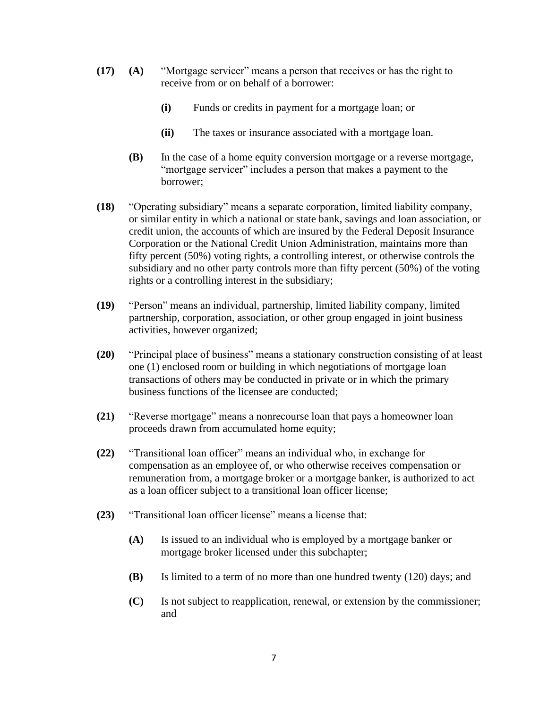- **(17) (A)** "Mortgage servicer" means a person that receives or has the right to receive from or on behalf of a borrower:
	- **(i)** Funds or credits in payment for a mortgage loan; or
	- **(ii)** The taxes or insurance associated with a mortgage loan.
	- **(B)** In the case of a home equity conversion mortgage or a reverse mortgage, "mortgage servicer" includes a person that makes a payment to the borrower;
- **(18)** "Operating subsidiary" means a separate corporation, limited liability company, or similar entity in which a national or state bank, savings and loan association, or credit union, the accounts of which are insured by the Federal Deposit Insurance Corporation or the National Credit Union Administration, maintains more than fifty percent (50%) voting rights, a controlling interest, or otherwise controls the subsidiary and no other party controls more than fifty percent (50%) of the voting rights or a controlling interest in the subsidiary;
- **(19)** "Person" means an individual, partnership, limited liability company, limited partnership, corporation, association, or other group engaged in joint business activities, however organized;
- **(20)** "Principal place of business" means a stationary construction consisting of at least one (1) enclosed room or building in which negotiations of mortgage loan transactions of others may be conducted in private or in which the primary business functions of the licensee are conducted;
- **(21)** "Reverse mortgage" means a nonrecourse loan that pays a homeowner loan proceeds drawn from accumulated home equity;
- **(22)** "Transitional loan officer" means an individual who, in exchange for compensation as an employee of, or who otherwise receives compensation or remuneration from, a mortgage broker or a mortgage banker, is authorized to act as a loan officer subject to a transitional loan officer license;
- **(23)** "Transitional loan officer license" means a license that:
	- **(A)** Is issued to an individual who is employed by a mortgage banker or mortgage broker licensed under this subchapter;
	- **(B)** Is limited to a term of no more than one hundred twenty (120) days; and
	- **(C)** Is not subject to reapplication, renewal, or extension by the commissioner; and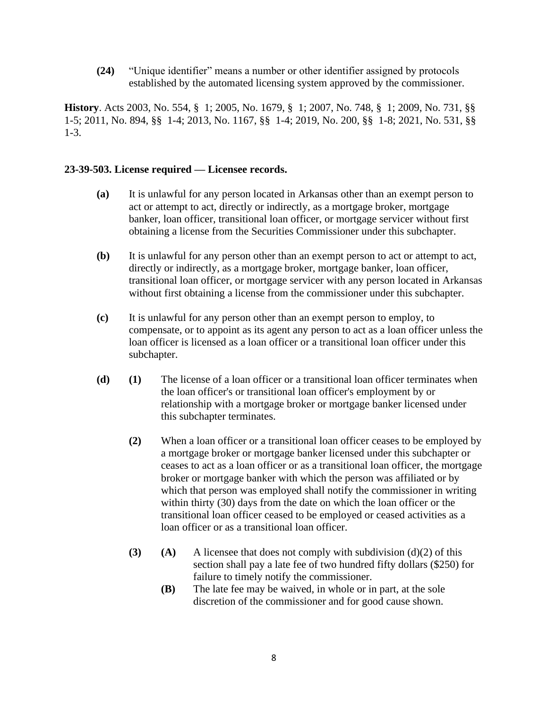**(24)** "Unique identifier" means a number or other identifier assigned by protocols established by the automated licensing system approved by the commissioner.

**History**. Acts 2003, No. 554, § 1; 2005, No. 1679, § 1; 2007, No. 748, § 1; 2009, No. 731, §§ 1-5; 2011, No. 894, §§ 1-4; 2013, No. 1167, §§ 1-4; 2019, No. 200, §§ 1-8; 2021, No. 531, §§ 1-3.

#### **23-39-503. License required — Licensee records.**

- **(a)** It is unlawful for any person located in Arkansas other than an exempt person to act or attempt to act, directly or indirectly, as a mortgage broker, mortgage banker, loan officer, transitional loan officer, or mortgage servicer without first obtaining a license from the Securities Commissioner under this subchapter.
- **(b)** It is unlawful for any person other than an exempt person to act or attempt to act, directly or indirectly, as a mortgage broker, mortgage banker, loan officer, transitional loan officer, or mortgage servicer with any person located in Arkansas without first obtaining a license from the commissioner under this subchapter.
- **(c)** It is unlawful for any person other than an exempt person to employ, to compensate, or to appoint as its agent any person to act as a loan officer unless the loan officer is licensed as a loan officer or a transitional loan officer under this subchapter.
- **(d) (1)** The license of a loan officer or a transitional loan officer terminates when the loan officer's or transitional loan officer's employment by or relationship with a mortgage broker or mortgage banker licensed under this subchapter terminates.
	- **(2)** When a loan officer or a transitional loan officer ceases to be employed by a mortgage broker or mortgage banker licensed under this subchapter or ceases to act as a loan officer or as a transitional loan officer, the mortgage broker or mortgage banker with which the person was affiliated or by which that person was employed shall notify the commissioner in writing within thirty (30) days from the date on which the loan officer or the transitional loan officer ceased to be employed or ceased activities as a loan officer or as a transitional loan officer.
	- **(3) (A)** A licensee that does not comply with subdivision (d)(2) of this section shall pay a late fee of two hundred fifty dollars (\$250) for failure to timely notify the commissioner.
		- **(B)** The late fee may be waived, in whole or in part, at the sole discretion of the commissioner and for good cause shown.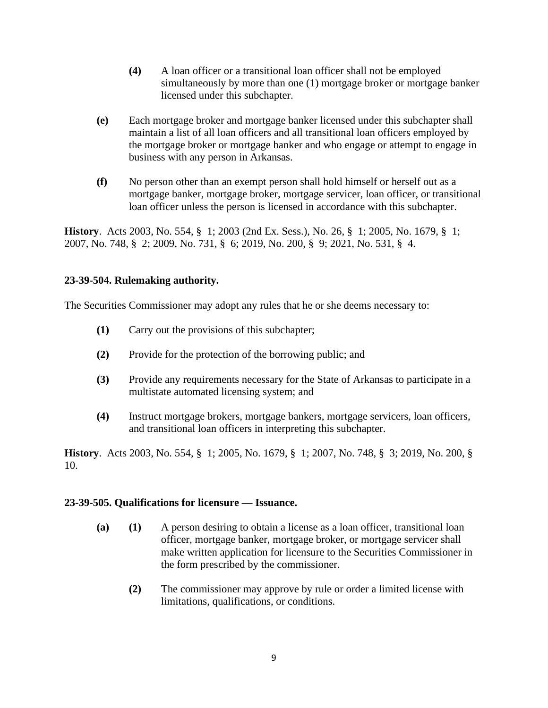- **(4)** A loan officer or a transitional loan officer shall not be employed simultaneously by more than one (1) mortgage broker or mortgage banker licensed under this subchapter.
- **(e)** Each mortgage broker and mortgage banker licensed under this subchapter shall maintain a list of all loan officers and all transitional loan officers employed by the mortgage broker or mortgage banker and who engage or attempt to engage in business with any person in Arkansas.
- **(f)** No person other than an exempt person shall hold himself or herself out as a mortgage banker, mortgage broker, mortgage servicer, loan officer, or transitional loan officer unless the person is licensed in accordance with this subchapter.

**History**. Acts 2003, No. 554, § 1; 2003 (2nd Ex. Sess.), No. 26, § 1; 2005, No. 1679, § 1; 2007, No. 748, § 2; 2009, No. 731, § 6; 2019, No. 200, § 9; 2021, No. 531, § 4.

# **23-39-504. Rulemaking authority.**

The Securities Commissioner may adopt any rules that he or she deems necessary to:

- **(1)** Carry out the provisions of this subchapter;
- **(2)** Provide for the protection of the borrowing public; and
- **(3)** Provide any requirements necessary for the State of Arkansas to participate in a multistate automated licensing system; and
- **(4)** Instruct mortgage brokers, mortgage bankers, mortgage servicers, loan officers, and transitional loan officers in interpreting this subchapter.

**History**. Acts 2003, No. 554, § 1; 2005, No. 1679, § 1; 2007, No. 748, § 3; 2019, No. 200, § 10.

#### **23-39-505. Qualifications for licensure — Issuance.**

- **(a) (1)** A person desiring to obtain a license as a loan officer, transitional loan officer, mortgage banker, mortgage broker, or mortgage servicer shall make written application for licensure to the Securities Commissioner in the form prescribed by the commissioner.
	- **(2)** The commissioner may approve by rule or order a limited license with limitations, qualifications, or conditions.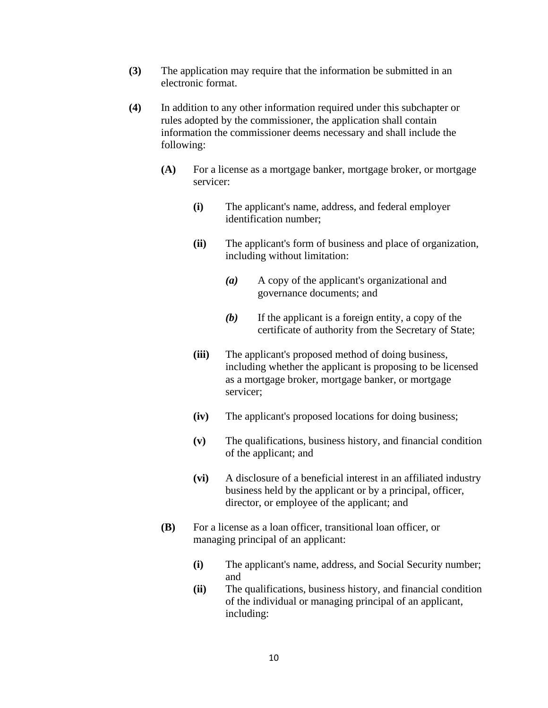- **(3)** The application may require that the information be submitted in an electronic format.
- **(4)** In addition to any other information required under this subchapter or rules adopted by the commissioner, the application shall contain information the commissioner deems necessary and shall include the following:
	- **(A)** For a license as a mortgage banker, mortgage broker, or mortgage servicer:
		- **(i)** The applicant's name, address, and federal employer identification number;
		- **(ii)** The applicant's form of business and place of organization, including without limitation:
			- *(a)* A copy of the applicant's organizational and governance documents; and
			- *(b)* If the applicant is a foreign entity, a copy of the certificate of authority from the Secretary of State;
		- **(iii)** The applicant's proposed method of doing business, including whether the applicant is proposing to be licensed as a mortgage broker, mortgage banker, or mortgage servicer;
		- **(iv)** The applicant's proposed locations for doing business;
		- **(v)** The qualifications, business history, and financial condition of the applicant; and
		- **(vi)** A disclosure of a beneficial interest in an affiliated industry business held by the applicant or by a principal, officer, director, or employee of the applicant; and
	- **(B)** For a license as a loan officer, transitional loan officer, or managing principal of an applicant:
		- **(i)** The applicant's name, address, and Social Security number; and
		- **(ii)** The qualifications, business history, and financial condition of the individual or managing principal of an applicant, including: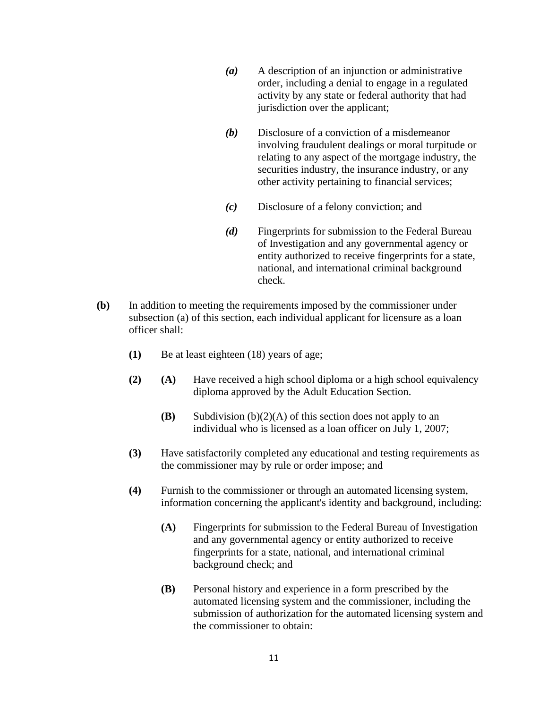- *(a)* A description of an injunction or administrative order, including a denial to engage in a regulated activity by any state or federal authority that had jurisdiction over the applicant;
- *(b)* Disclosure of a conviction of a misdemeanor involving fraudulent dealings or moral turpitude or relating to any aspect of the mortgage industry, the securities industry, the insurance industry, or any other activity pertaining to financial services;
- *(c)* Disclosure of a felony conviction; and
- *(d)* Fingerprints for submission to the Federal Bureau of Investigation and any governmental agency or entity authorized to receive fingerprints for a state, national, and international criminal background check.
- **(b)** In addition to meeting the requirements imposed by the commissioner under subsection (a) of this section, each individual applicant for licensure as a loan officer shall:
	- **(1)** Be at least eighteen (18) years of age;
	- **(2) (A)** Have received a high school diploma or a high school equivalency diploma approved by the Adult Education Section.
		- **(B)** Subdivision (b)(2)(A) of this section does not apply to an individual who is licensed as a loan officer on July 1, 2007;
	- **(3)** Have satisfactorily completed any educational and testing requirements as the commissioner may by rule or order impose; and
	- **(4)** Furnish to the commissioner or through an automated licensing system, information concerning the applicant's identity and background, including:
		- **(A)** Fingerprints for submission to the Federal Bureau of Investigation and any governmental agency or entity authorized to receive fingerprints for a state, national, and international criminal background check; and
		- **(B)** Personal history and experience in a form prescribed by the automated licensing system and the commissioner, including the submission of authorization for the automated licensing system and the commissioner to obtain: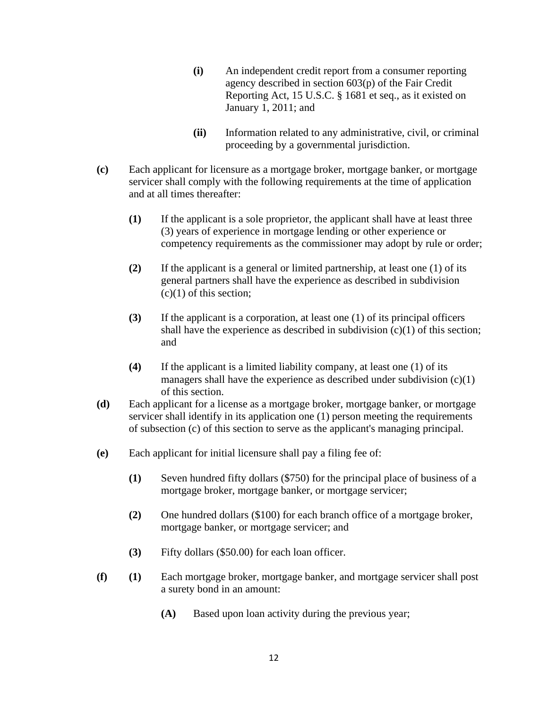- **(i)** An independent credit report from a consumer reporting agency described in section 603(p) of the Fair Credit Reporting Act, 15 U.S.C. § 1681 et seq., as it existed on January 1, 2011; and
- **(ii)** Information related to any administrative, civil, or criminal proceeding by a governmental jurisdiction.
- **(c)** Each applicant for licensure as a mortgage broker, mortgage banker, or mortgage servicer shall comply with the following requirements at the time of application and at all times thereafter:
	- **(1)** If the applicant is a sole proprietor, the applicant shall have at least three (3) years of experience in mortgage lending or other experience or competency requirements as the commissioner may adopt by rule or order;
	- **(2)** If the applicant is a general or limited partnership, at least one (1) of its general partners shall have the experience as described in subdivision  $(c)(1)$  of this section;
	- **(3)** If the applicant is a corporation, at least one (1) of its principal officers shall have the experience as described in subdivision  $(c)(1)$  of this section; and
	- **(4)** If the applicant is a limited liability company, at least one (1) of its managers shall have the experience as described under subdivision  $(c)(1)$ of this section.
- **(d)** Each applicant for a license as a mortgage broker, mortgage banker, or mortgage servicer shall identify in its application one (1) person meeting the requirements of subsection (c) of this section to serve as the applicant's managing principal.
- **(e)** Each applicant for initial licensure shall pay a filing fee of:
	- **(1)** Seven hundred fifty dollars (\$750) for the principal place of business of a mortgage broker, mortgage banker, or mortgage servicer;
	- **(2)** One hundred dollars (\$100) for each branch office of a mortgage broker, mortgage banker, or mortgage servicer; and
	- **(3)** Fifty dollars (\$50.00) for each loan officer.
- **(f) (1)** Each mortgage broker, mortgage banker, and mortgage servicer shall post a surety bond in an amount:
	- **(A)** Based upon loan activity during the previous year;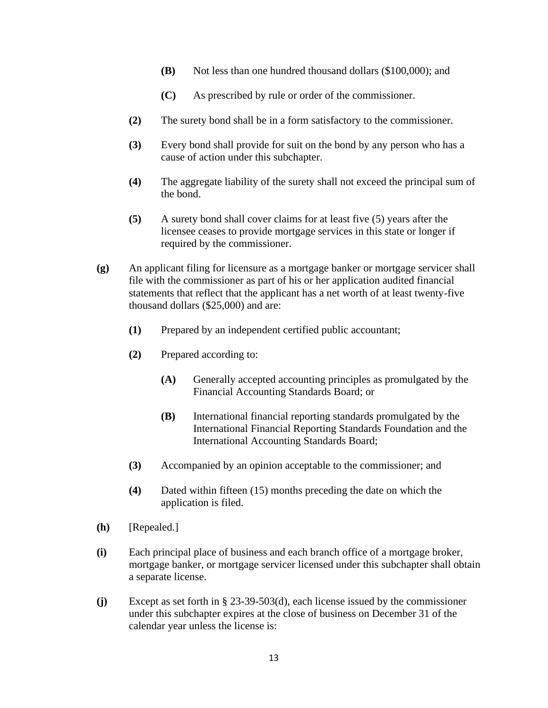- **(B)** Not less than one hundred thousand dollars (\$100,000); and
- **(C)** As prescribed by rule or order of the commissioner.
- **(2)** The surety bond shall be in a form satisfactory to the commissioner.
- **(3)** Every bond shall provide for suit on the bond by any person who has a cause of action under this subchapter.
- **(4)** The aggregate liability of the surety shall not exceed the principal sum of the bond.
- **(5)** A surety bond shall cover claims for at least five (5) years after the licensee ceases to provide mortgage services in this state or longer if required by the commissioner.
- **(g)** An applicant filing for licensure as a mortgage banker or mortgage servicer shall file with the commissioner as part of his or her application audited financial statements that reflect that the applicant has a net worth of at least twenty-five thousand dollars (\$25,000) and are:
	- **(1)** Prepared by an independent certified public accountant;
	- **(2)** Prepared according to:
		- **(A)** Generally accepted accounting principles as promulgated by the Financial Accounting Standards Board; or
		- **(B)** International financial reporting standards promulgated by the International Financial Reporting Standards Foundation and the International Accounting Standards Board;
	- **(3)** Accompanied by an opinion acceptable to the commissioner; and
	- **(4)** Dated within fifteen (15) months preceding the date on which the application is filed.
- **(h)** [Repealed.]
- **(i)** Each principal place of business and each branch office of a mortgage broker, mortgage banker, or mortgage servicer licensed under this subchapter shall obtain a separate license.
- **(j)** Except as set forth in § 23-39-503(d), each license issued by the commissioner under this subchapter expires at the close of business on December 31 of the calendar year unless the license is: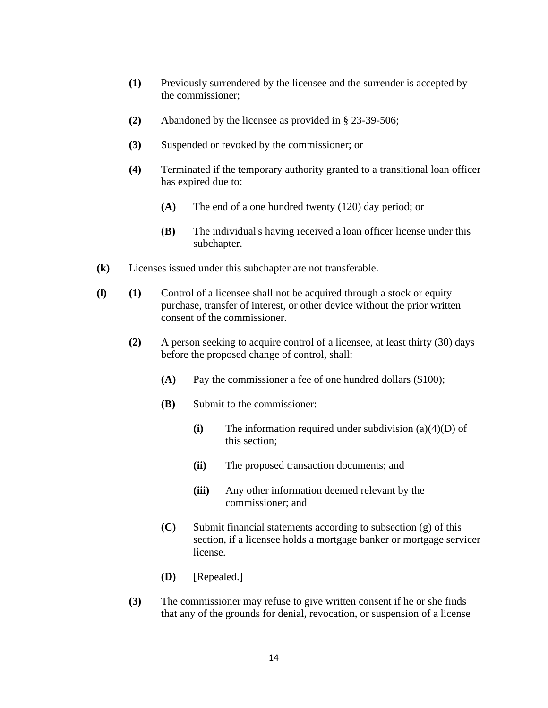- **(1)** Previously surrendered by the licensee and the surrender is accepted by the commissioner;
- **(2)** Abandoned by the licensee as provided in § 23-39-506;
- **(3)** Suspended or revoked by the commissioner; or
- **(4)** Terminated if the temporary authority granted to a transitional loan officer has expired due to:
	- **(A)** The end of a one hundred twenty (120) day period; or
	- **(B)** The individual's having received a loan officer license under this subchapter.
- **(k)** Licenses issued under this subchapter are not transferable.
- **(l) (1)** Control of a licensee shall not be acquired through a stock or equity purchase, transfer of interest, or other device without the prior written consent of the commissioner.
	- **(2)** A person seeking to acquire control of a licensee, at least thirty (30) days before the proposed change of control, shall:
		- **(A)** Pay the commissioner a fee of one hundred dollars (\$100);
		- **(B)** Submit to the commissioner:
			- **(i)** The information required under subdivision (a)(4)(D) of this section;
			- **(ii)** The proposed transaction documents; and
			- **(iii)** Any other information deemed relevant by the commissioner; and
		- **(C)** Submit financial statements according to subsection (g) of this section, if a licensee holds a mortgage banker or mortgage servicer license.
		- **(D)** [Repealed.]
	- **(3)** The commissioner may refuse to give written consent if he or she finds that any of the grounds for denial, revocation, or suspension of a license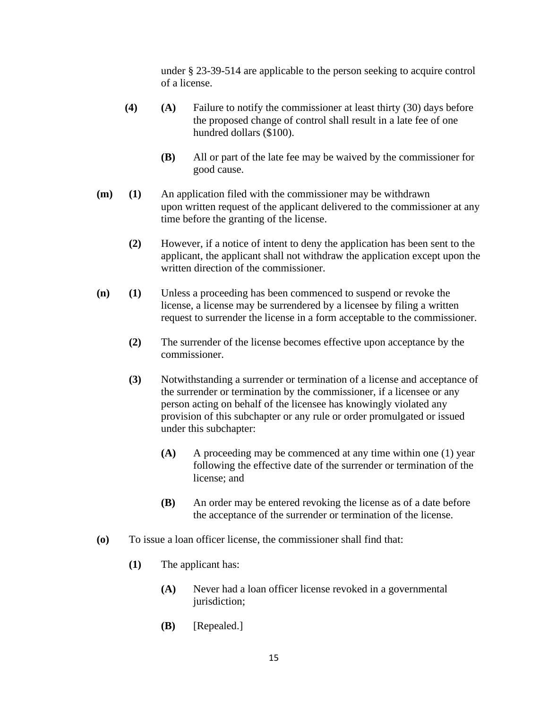under § 23-39-514 are applicable to the person seeking to acquire control of a license.

- **(4) (A)** Failure to notify the commissioner at least thirty (30) days before the proposed change of control shall result in a late fee of one hundred dollars (\$100).
	- **(B)** All or part of the late fee may be waived by the commissioner for good cause.
- **(m) (1)** An application filed with the commissioner may be withdrawn upon written request of the applicant delivered to the commissioner at any time before the granting of the license.
	- **(2)** However, if a notice of intent to deny the application has been sent to the applicant, the applicant shall not withdraw the application except upon the written direction of the commissioner.
- **(n) (1)** Unless a proceeding has been commenced to suspend or revoke the license, a license may be surrendered by a licensee by filing a written request to surrender the license in a form acceptable to the commissioner.
	- **(2)** The surrender of the license becomes effective upon acceptance by the commissioner.
	- **(3)** Notwithstanding a surrender or termination of a license and acceptance of the surrender or termination by the commissioner, if a licensee or any person acting on behalf of the licensee has knowingly violated any provision of this subchapter or any rule or order promulgated or issued under this subchapter:
		- **(A)** A proceeding may be commenced at any time within one (1) year following the effective date of the surrender or termination of the license; and
		- **(B)** An order may be entered revoking the license as of a date before the acceptance of the surrender or termination of the license.
- **(o)** To issue a loan officer license, the commissioner shall find that:
	- **(1)** The applicant has:
		- **(A)** Never had a loan officer license revoked in a governmental jurisdiction;
		- **(B)** [Repealed.]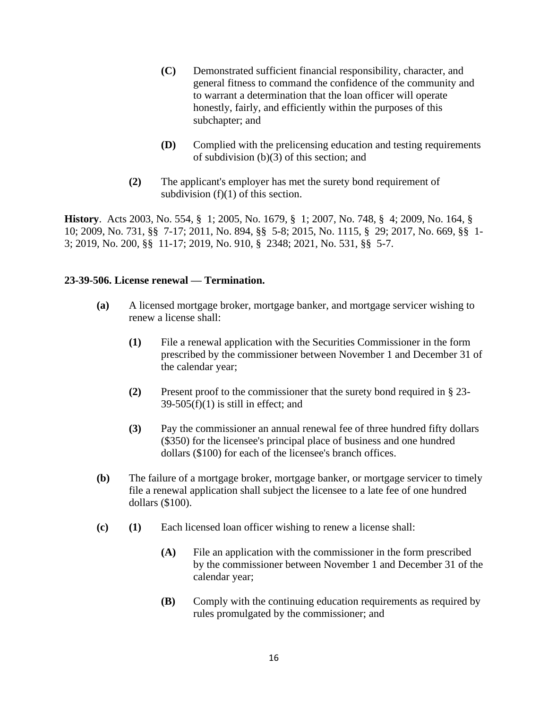- **(C)** Demonstrated sufficient financial responsibility, character, and general fitness to command the confidence of the community and to warrant a determination that the loan officer will operate honestly, fairly, and efficiently within the purposes of this subchapter; and
- **(D)** Complied with the prelicensing education and testing requirements of subdivision (b)(3) of this section; and
- **(2)** The applicant's employer has met the surety bond requirement of subdivision  $(f)(1)$  of this section.

**History**. Acts 2003, No. 554, § 1; 2005, No. 1679, § 1; 2007, No. 748, § 4; 2009, No. 164, § 10; 2009, No. 731, §§ 7-17; 2011, No. 894, §§ 5-8; 2015, No. 1115, § 29; 2017, No. 669, §§ 1- 3; 2019, No. 200, §§ 11-17; 2019, No. 910, § 2348; 2021, No. 531, §§ 5-7.

#### **23-39-506. License renewal — Termination.**

- **(a)** A licensed mortgage broker, mortgage banker, and mortgage servicer wishing to renew a license shall:
	- **(1)** File a renewal application with the Securities Commissioner in the form prescribed by the commissioner between November 1 and December 31 of the calendar year;
	- **(2)** Present proof to the commissioner that the surety bond required in § 23-  $39-505(f)(1)$  is still in effect; and
	- **(3)** Pay the commissioner an annual renewal fee of three hundred fifty dollars (\$350) for the licensee's principal place of business and one hundred dollars (\$100) for each of the licensee's branch offices.
- **(b)** The failure of a mortgage broker, mortgage banker, or mortgage servicer to timely file a renewal application shall subject the licensee to a late fee of one hundred dollars (\$100).
- **(c) (1)** Each licensed loan officer wishing to renew a license shall:
	- **(A)** File an application with the commissioner in the form prescribed by the commissioner between November 1 and December 31 of the calendar year;
	- **(B)** Comply with the continuing education requirements as required by rules promulgated by the commissioner; and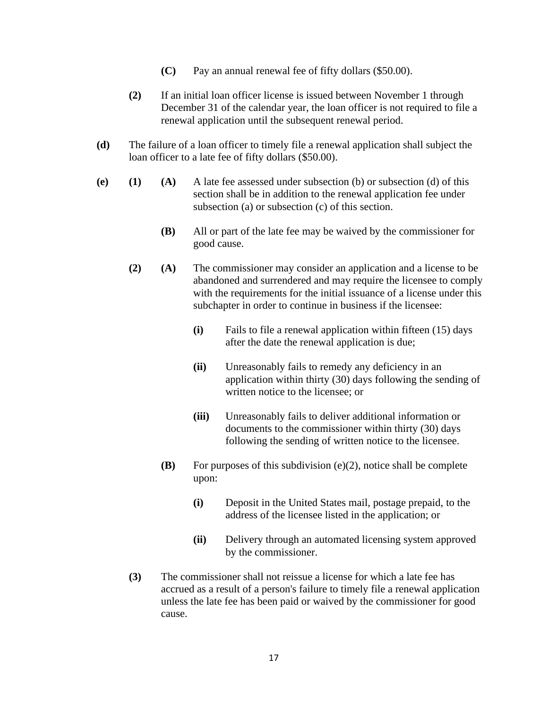- **(C)** Pay an annual renewal fee of fifty dollars (\$50.00).
- **(2)** If an initial loan officer license is issued between November 1 through December 31 of the calendar year, the loan officer is not required to file a renewal application until the subsequent renewal period.
- **(d)** The failure of a loan officer to timely file a renewal application shall subject the loan officer to a late fee of fifty dollars (\$50.00).
- **(e) (1) (A)** A late fee assessed under subsection (b) or subsection (d) of this section shall be in addition to the renewal application fee under subsection (a) or subsection (c) of this section.
	- **(B)** All or part of the late fee may be waived by the commissioner for good cause.
	- **(2) (A)** The commissioner may consider an application and a license to be abandoned and surrendered and may require the licensee to comply with the requirements for the initial issuance of a license under this subchapter in order to continue in business if the licensee:
		- **(i)** Fails to file a renewal application within fifteen (15) days after the date the renewal application is due;
		- **(ii)** Unreasonably fails to remedy any deficiency in an application within thirty (30) days following the sending of written notice to the licensee; or
		- **(iii)** Unreasonably fails to deliver additional information or documents to the commissioner within thirty (30) days following the sending of written notice to the licensee.
		- **(B)** For purposes of this subdivision (e)(2), notice shall be complete upon:
			- **(i)** Deposit in the United States mail, postage prepaid, to the address of the licensee listed in the application; or
			- **(ii)** Delivery through an automated licensing system approved by the commissioner.
	- **(3)** The commissioner shall not reissue a license for which a late fee has accrued as a result of a person's failure to timely file a renewal application unless the late fee has been paid or waived by the commissioner for good cause.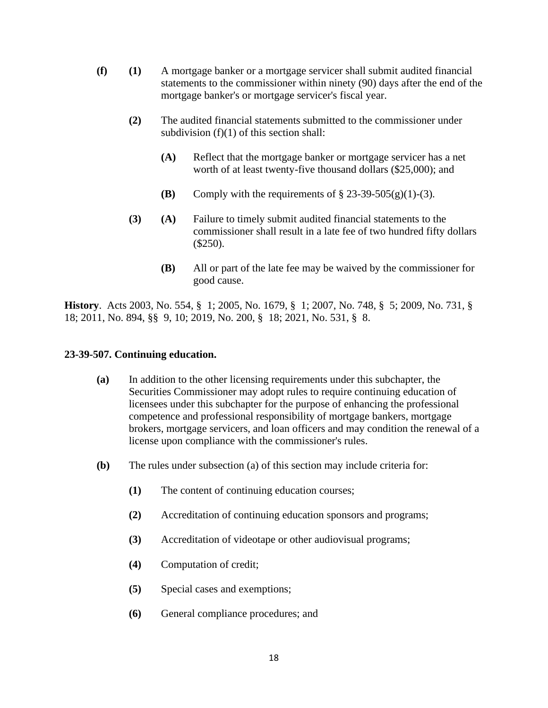- **(f) (1)** A mortgage banker or a mortgage servicer shall submit audited financial statements to the commissioner within ninety (90) days after the end of the mortgage banker's or mortgage servicer's fiscal year.
	- **(2)** The audited financial statements submitted to the commissioner under subdivision  $(f)(1)$  of this section shall:
		- **(A)** Reflect that the mortgage banker or mortgage servicer has a net worth of at least twenty-five thousand dollars (\$25,000); and
		- **(B)** Comply with the requirements of  $\S$  23-39-505(g)(1)-(3).
	- **(3) (A)** Failure to timely submit audited financial statements to the commissioner shall result in a late fee of two hundred fifty dollars (\$250).
		- **(B)** All or part of the late fee may be waived by the commissioner for good cause.

**History**. Acts 2003, No. 554, § 1; 2005, No. 1679, § 1; 2007, No. 748, § 5; 2009, No. 731, § 18; 2011, No. 894, §§ 9, 10; 2019, No. 200, § 18; 2021, No. 531, § 8.

#### **23-39-507. Continuing education.**

- **(a)** In addition to the other licensing requirements under this subchapter, the Securities Commissioner may adopt rules to require continuing education of licensees under this subchapter for the purpose of enhancing the professional competence and professional responsibility of mortgage bankers, mortgage brokers, mortgage servicers, and loan officers and may condition the renewal of a license upon compliance with the commissioner's rules.
- **(b)** The rules under subsection (a) of this section may include criteria for:
	- **(1)** The content of continuing education courses;
	- **(2)** Accreditation of continuing education sponsors and programs;
	- **(3)** Accreditation of videotape or other audiovisual programs;
	- **(4)** Computation of credit;
	- **(5)** Special cases and exemptions;
	- **(6)** General compliance procedures; and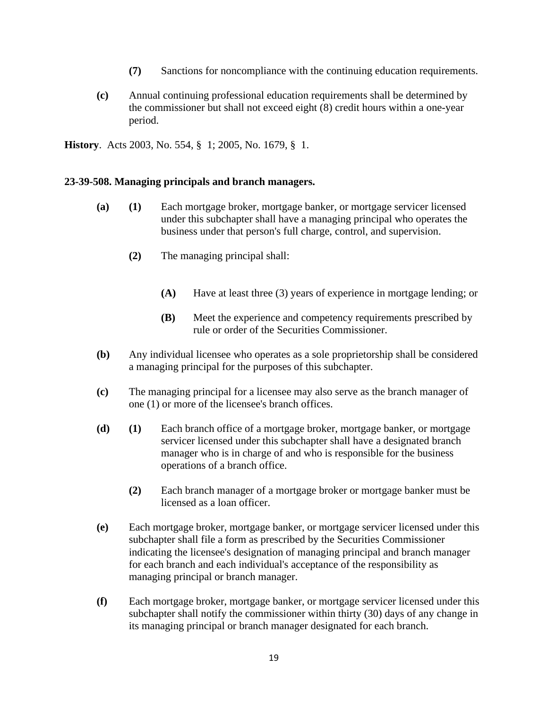- **(7)** Sanctions for noncompliance with the continuing education requirements.
- **(c)** Annual continuing professional education requirements shall be determined by the commissioner but shall not exceed eight (8) credit hours within a one-year period.

**History**. Acts 2003, No. 554, § 1; 2005, No. 1679, § 1.

#### **23-39-508. Managing principals and branch managers.**

- **(a) (1)** Each mortgage broker, mortgage banker, or mortgage servicer licensed under this subchapter shall have a managing principal who operates the business under that person's full charge, control, and supervision.
	- **(2)** The managing principal shall:
		- **(A)** Have at least three (3) years of experience in mortgage lending; or
		- **(B)** Meet the experience and competency requirements prescribed by rule or order of the Securities Commissioner.
- **(b)** Any individual licensee who operates as a sole proprietorship shall be considered a managing principal for the purposes of this subchapter.
- **(c)** The managing principal for a licensee may also serve as the branch manager of one (1) or more of the licensee's branch offices.
- **(d) (1)** Each branch office of a mortgage broker, mortgage banker, or mortgage servicer licensed under this subchapter shall have a designated branch manager who is in charge of and who is responsible for the business operations of a branch office.
	- **(2)** Each branch manager of a mortgage broker or mortgage banker must be licensed as a loan officer.
- **(e)** Each mortgage broker, mortgage banker, or mortgage servicer licensed under this subchapter shall file a form as prescribed by the Securities Commissioner indicating the licensee's designation of managing principal and branch manager for each branch and each individual's acceptance of the responsibility as managing principal or branch manager.
- **(f)** Each mortgage broker, mortgage banker, or mortgage servicer licensed under this subchapter shall notify the commissioner within thirty (30) days of any change in its managing principal or branch manager designated for each branch.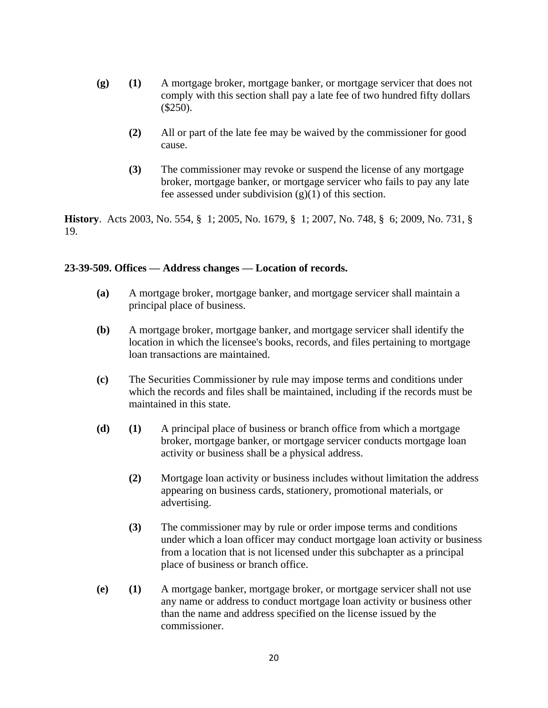- **(g) (1)** A mortgage broker, mortgage banker, or mortgage servicer that does not comply with this section shall pay a late fee of two hundred fifty dollars (\$250).
	- **(2)** All or part of the late fee may be waived by the commissioner for good cause.
	- **(3)** The commissioner may revoke or suspend the license of any mortgage broker, mortgage banker, or mortgage servicer who fails to pay any late fee assessed under subdivision  $(g)(1)$  of this section.

**History**. Acts 2003, No. 554, § 1; 2005, No. 1679, § 1; 2007, No. 748, § 6; 2009, No. 731, § 19.

#### **23-39-509. Offices — Address changes — Location of records.**

- **(a)** A mortgage broker, mortgage banker, and mortgage servicer shall maintain a principal place of business.
- **(b)** A mortgage broker, mortgage banker, and mortgage servicer shall identify the location in which the licensee's books, records, and files pertaining to mortgage loan transactions are maintained.
- **(c)** The Securities Commissioner by rule may impose terms and conditions under which the records and files shall be maintained, including if the records must be maintained in this state.
- **(d) (1)** A principal place of business or branch office from which a mortgage broker, mortgage banker, or mortgage servicer conducts mortgage loan activity or business shall be a physical address.
	- **(2)** Mortgage loan activity or business includes without limitation the address appearing on business cards, stationery, promotional materials, or advertising.
	- **(3)** The commissioner may by rule or order impose terms and conditions under which a loan officer may conduct mortgage loan activity or business from a location that is not licensed under this subchapter as a principal place of business or branch office.
- **(e) (1)** A mortgage banker, mortgage broker, or mortgage servicer shall not use any name or address to conduct mortgage loan activity or business other than the name and address specified on the license issued by the commissioner.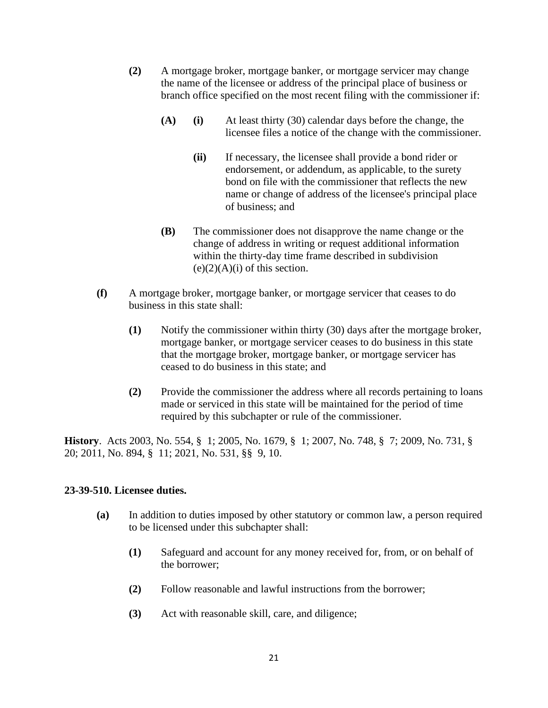- **(2)** A mortgage broker, mortgage banker, or mortgage servicer may change the name of the licensee or address of the principal place of business or branch office specified on the most recent filing with the commissioner if:
	- **(A) (i)** At least thirty (30) calendar days before the change, the licensee files a notice of the change with the commissioner.
		- **(ii)** If necessary, the licensee shall provide a bond rider or endorsement, or addendum, as applicable, to the surety bond on file with the commissioner that reflects the new name or change of address of the licensee's principal place of business; and
	- **(B)** The commissioner does not disapprove the name change or the change of address in writing or request additional information within the thirty-day time frame described in subdivision  $(e)(2)(A)(i)$  of this section.
- **(f)** A mortgage broker, mortgage banker, or mortgage servicer that ceases to do business in this state shall:
	- **(1)** Notify the commissioner within thirty (30) days after the mortgage broker, mortgage banker, or mortgage servicer ceases to do business in this state that the mortgage broker, mortgage banker, or mortgage servicer has ceased to do business in this state; and
	- **(2)** Provide the commissioner the address where all records pertaining to loans made or serviced in this state will be maintained for the period of time required by this subchapter or rule of the commissioner.

**History**. Acts 2003, No. 554, § 1; 2005, No. 1679, § 1; 2007, No. 748, § 7; 2009, No. 731, § 20; 2011, No. 894, § 11; 2021, No. 531, §§ 9, 10.

#### **23-39-510. Licensee duties.**

- **(a)** In addition to duties imposed by other statutory or common law, a person required to be licensed under this subchapter shall:
	- **(1)** Safeguard and account for any money received for, from, or on behalf of the borrower;
	- **(2)** Follow reasonable and lawful instructions from the borrower;
	- **(3)** Act with reasonable skill, care, and diligence;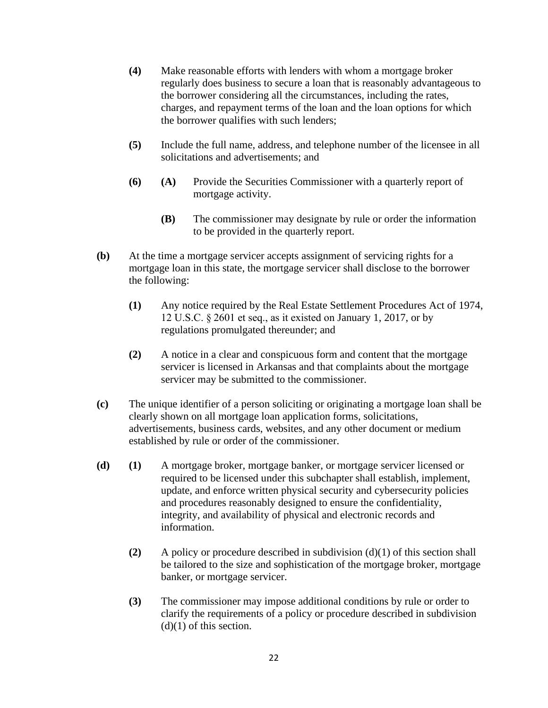- **(4)** Make reasonable efforts with lenders with whom a mortgage broker regularly does business to secure a loan that is reasonably advantageous to the borrower considering all the circumstances, including the rates, charges, and repayment terms of the loan and the loan options for which the borrower qualifies with such lenders;
- **(5)** Include the full name, address, and telephone number of the licensee in all solicitations and advertisements; and
- **(6) (A)** Provide the Securities Commissioner with a quarterly report of mortgage activity.
	- **(B)** The commissioner may designate by rule or order the information to be provided in the quarterly report.
- **(b)** At the time a mortgage servicer accepts assignment of servicing rights for a mortgage loan in this state, the mortgage servicer shall disclose to the borrower the following:
	- **(1)** Any notice required by the Real Estate Settlement Procedures Act of 1974, 12 U.S.C. § 2601 et seq., as it existed on January 1, 2017, or by regulations promulgated thereunder; and
	- **(2)** A notice in a clear and conspicuous form and content that the mortgage servicer is licensed in Arkansas and that complaints about the mortgage servicer may be submitted to the commissioner.
- **(c)** The unique identifier of a person soliciting or originating a mortgage loan shall be clearly shown on all mortgage loan application forms, solicitations, advertisements, business cards, websites, and any other document or medium established by rule or order of the commissioner.
- **(d) (1)** A mortgage broker, mortgage banker, or mortgage servicer licensed or required to be licensed under this subchapter shall establish, implement, update, and enforce written physical security and cybersecurity policies and procedures reasonably designed to ensure the confidentiality, integrity, and availability of physical and electronic records and information.
	- **(2)** A policy or procedure described in subdivision (d)(1) of this section shall be tailored to the size and sophistication of the mortgage broker, mortgage banker, or mortgage servicer.
	- **(3)** The commissioner may impose additional conditions by rule or order to clarify the requirements of a policy or procedure described in subdivision  $(d)(1)$  of this section.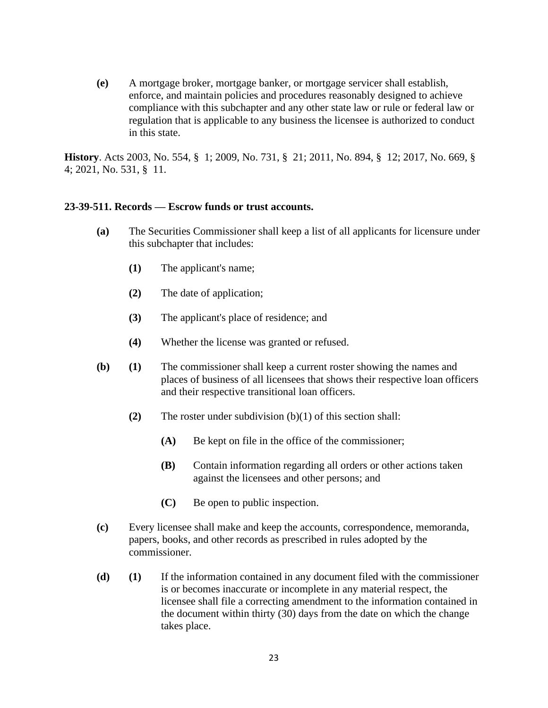**(e)** A mortgage broker, mortgage banker, or mortgage servicer shall establish, enforce, and maintain policies and procedures reasonably designed to achieve compliance with this subchapter and any other state law or rule or federal law or regulation that is applicable to any business the licensee is authorized to conduct in this state.

**History**. Acts 2003, No. 554, § 1; 2009, No. 731, § 21; 2011, No. 894, § 12; 2017, No. 669, § 4; 2021, No. 531, § 11.

#### **23-39-511. Records — Escrow funds or trust accounts.**

- **(a)** The Securities Commissioner shall keep a list of all applicants for licensure under this subchapter that includes:
	- **(1)** The applicant's name;
	- **(2)** The date of application;
	- **(3)** The applicant's place of residence; and
	- **(4)** Whether the license was granted or refused.
- **(b) (1)** The commissioner shall keep a current roster showing the names and places of business of all licensees that shows their respective loan officers and their respective transitional loan officers.
	- **(2)** The roster under subdivision (b)(1) of this section shall:
		- **(A)** Be kept on file in the office of the commissioner;
		- **(B)** Contain information regarding all orders or other actions taken against the licensees and other persons; and
		- **(C)** Be open to public inspection.
- **(c)** Every licensee shall make and keep the accounts, correspondence, memoranda, papers, books, and other records as prescribed in rules adopted by the commissioner.
- **(d) (1)** If the information contained in any document filed with the commissioner is or becomes inaccurate or incomplete in any material respect, the licensee shall file a correcting amendment to the information contained in the document within thirty (30) days from the date on which the change takes place.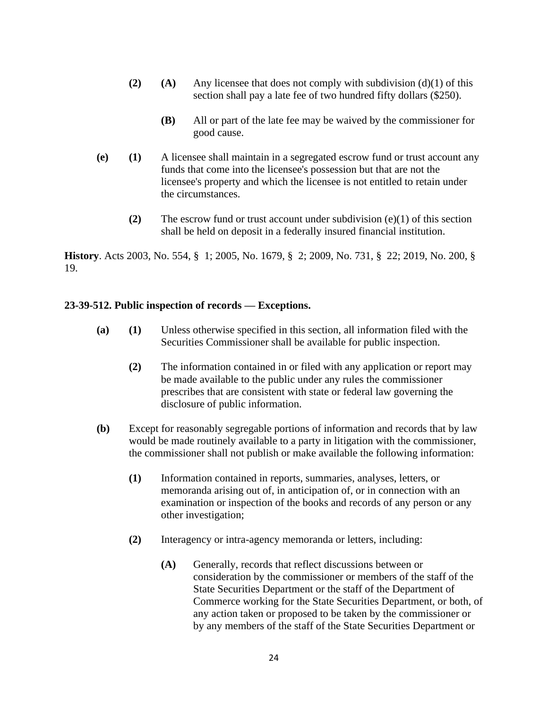- **(2) (A)** Any licensee that does not comply with subdivision (d)(1) of this section shall pay a late fee of two hundred fifty dollars (\$250).
	- **(B)** All or part of the late fee may be waived by the commissioner for good cause.
- **(e) (1)** A licensee shall maintain in a segregated escrow fund or trust account any funds that come into the licensee's possession but that are not the licensee's property and which the licensee is not entitled to retain under the circumstances.
	- **(2)** The escrow fund or trust account under subdivision (e)(1) of this section shall be held on deposit in a federally insured financial institution.

**History**. Acts 2003, No. 554, § 1; 2005, No. 1679, § 2; 2009, No. 731, § 22; 2019, No. 200, § 19.

## **23-39-512. Public inspection of records — Exceptions.**

- **(a) (1)** Unless otherwise specified in this section, all information filed with the Securities Commissioner shall be available for public inspection.
	- **(2)** The information contained in or filed with any application or report may be made available to the public under any rules the commissioner prescribes that are consistent with state or federal law governing the disclosure of public information.
- **(b)** Except for reasonably segregable portions of information and records that by law would be made routinely available to a party in litigation with the commissioner, the commissioner shall not publish or make available the following information:
	- **(1)** Information contained in reports, summaries, analyses, letters, or memoranda arising out of, in anticipation of, or in connection with an examination or inspection of the books and records of any person or any other investigation;
	- **(2)** Interagency or intra-agency memoranda or letters, including:
		- **(A)** Generally, records that reflect discussions between or consideration by the commissioner or members of the staff of the State Securities Department or the staff of the Department of Commerce working for the State Securities Department, or both, of any action taken or proposed to be taken by the commissioner or by any members of the staff of the State Securities Department or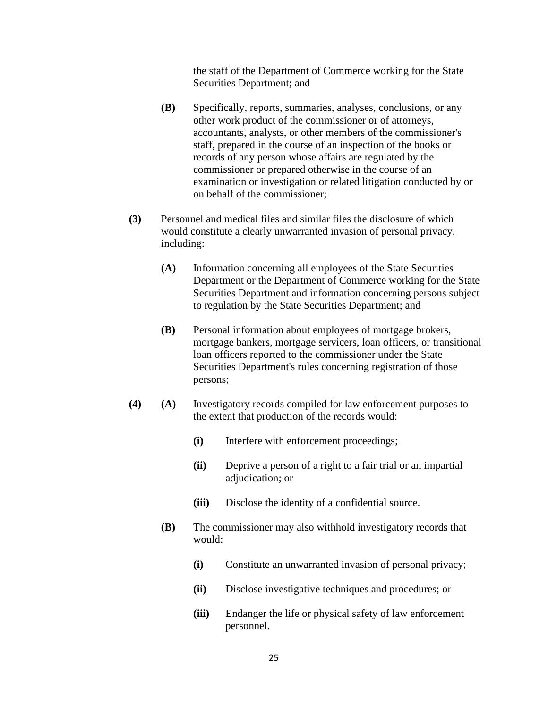the staff of the Department of Commerce working for the State Securities Department; and

- **(B)** Specifically, reports, summaries, analyses, conclusions, or any other work product of the commissioner or of attorneys, accountants, analysts, or other members of the commissioner's staff, prepared in the course of an inspection of the books or records of any person whose affairs are regulated by the commissioner or prepared otherwise in the course of an examination or investigation or related litigation conducted by or on behalf of the commissioner;
- **(3)** Personnel and medical files and similar files the disclosure of which would constitute a clearly unwarranted invasion of personal privacy, including:
	- **(A)** Information concerning all employees of the State Securities Department or the Department of Commerce working for the State Securities Department and information concerning persons subject to regulation by the State Securities Department; and
	- **(B)** Personal information about employees of mortgage brokers, mortgage bankers, mortgage servicers, loan officers, or transitional loan officers reported to the commissioner under the State Securities Department's rules concerning registration of those persons;
- **(4) (A)** Investigatory records compiled for law enforcement purposes to the extent that production of the records would:
	- **(i)** Interfere with enforcement proceedings;
	- **(ii)** Deprive a person of a right to a fair trial or an impartial adjudication; or
	- **(iii)** Disclose the identity of a confidential source.
	- **(B)** The commissioner may also withhold investigatory records that would:
		- **(i)** Constitute an unwarranted invasion of personal privacy;
		- **(ii)** Disclose investigative techniques and procedures; or
		- **(iii)** Endanger the life or physical safety of law enforcement personnel.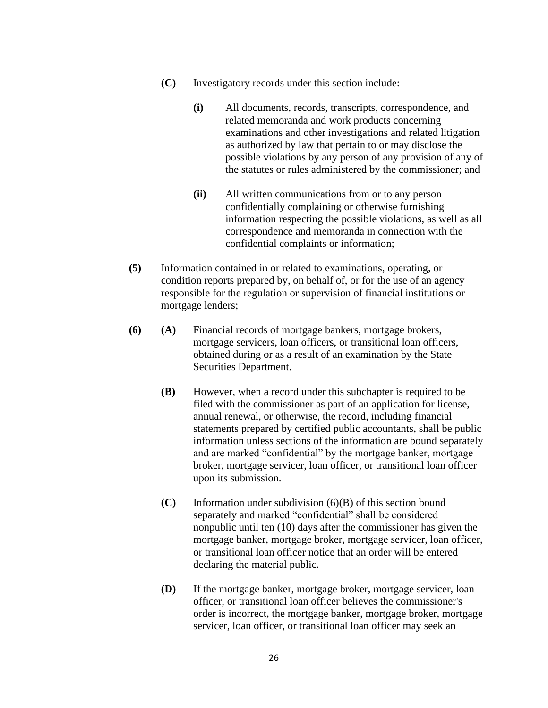- **(C)** Investigatory records under this section include:
	- **(i)** All documents, records, transcripts, correspondence, and related memoranda and work products concerning examinations and other investigations and related litigation as authorized by law that pertain to or may disclose the possible violations by any person of any provision of any of the statutes or rules administered by the commissioner; and
	- **(ii)** All written communications from or to any person confidentially complaining or otherwise furnishing information respecting the possible violations, as well as all correspondence and memoranda in connection with the confidential complaints or information;
- **(5)** Information contained in or related to examinations, operating, or condition reports prepared by, on behalf of, or for the use of an agency responsible for the regulation or supervision of financial institutions or mortgage lenders;
- **(6) (A)** Financial records of mortgage bankers, mortgage brokers, mortgage servicers, loan officers, or transitional loan officers, obtained during or as a result of an examination by the State Securities Department.
	- **(B)** However, when a record under this subchapter is required to be filed with the commissioner as part of an application for license, annual renewal, or otherwise, the record, including financial statements prepared by certified public accountants, shall be public information unless sections of the information are bound separately and are marked "confidential" by the mortgage banker, mortgage broker, mortgage servicer, loan officer, or transitional loan officer upon its submission.
	- **(C)** Information under subdivision (6)(B) of this section bound separately and marked "confidential" shall be considered nonpublic until ten (10) days after the commissioner has given the mortgage banker, mortgage broker, mortgage servicer, loan officer, or transitional loan officer notice that an order will be entered declaring the material public.
	- **(D)** If the mortgage banker, mortgage broker, mortgage servicer, loan officer, or transitional loan officer believes the commissioner's order is incorrect, the mortgage banker, mortgage broker, mortgage servicer, loan officer, or transitional loan officer may seek an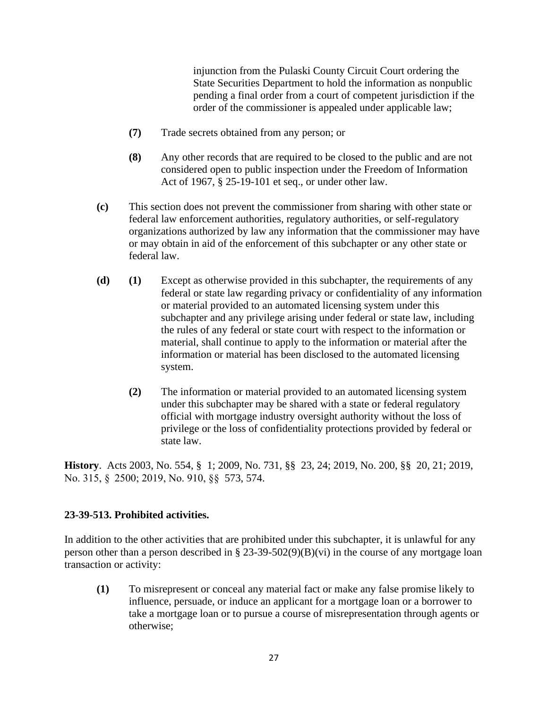injunction from the Pulaski County Circuit Court ordering the State Securities Department to hold the information as nonpublic pending a final order from a court of competent jurisdiction if the order of the commissioner is appealed under applicable law;

- **(7)** Trade secrets obtained from any person; or
- **(8)** Any other records that are required to be closed to the public and are not considered open to public inspection under the Freedom of Information Act of 1967, § 25-19-101 et seq., or under other law.
- **(c)** This section does not prevent the commissioner from sharing with other state or federal law enforcement authorities, regulatory authorities, or self-regulatory organizations authorized by law any information that the commissioner may have or may obtain in aid of the enforcement of this subchapter or any other state or federal law.
- **(d) (1)** Except as otherwise provided in this subchapter, the requirements of any federal or state law regarding privacy or confidentiality of any information or material provided to an automated licensing system under this subchapter and any privilege arising under federal or state law, including the rules of any federal or state court with respect to the information or material, shall continue to apply to the information or material after the information or material has been disclosed to the automated licensing system.
	- **(2)** The information or material provided to an automated licensing system under this subchapter may be shared with a state or federal regulatory official with mortgage industry oversight authority without the loss of privilege or the loss of confidentiality protections provided by federal or state law.

**History**. Acts 2003, No. 554, § 1; 2009, No. 731, §§ 23, 24; 2019, No. 200, §§ 20, 21; 2019, No. 315, §  2500; 2019, No. 910, §§ 573, 574.

# **23-39-513. Prohibited activities.**

In addition to the other activities that are prohibited under this subchapter, it is unlawful for any person other than a person described in  $\S 23-39-502(9)(B)(vi)$  in the course of any mortgage loan transaction or activity:

**(1)** To misrepresent or conceal any material fact or make any false promise likely to influence, persuade, or induce an applicant for a mortgage loan or a borrower to take a mortgage loan or to pursue a course of misrepresentation through agents or otherwise;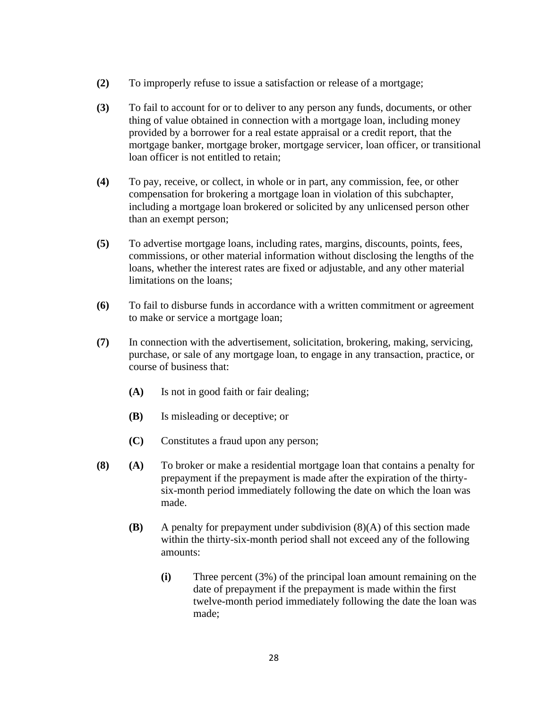- **(2)** To improperly refuse to issue a satisfaction or release of a mortgage;
- **(3)** To fail to account for or to deliver to any person any funds, documents, or other thing of value obtained in connection with a mortgage loan, including money provided by a borrower for a real estate appraisal or a credit report, that the mortgage banker, mortgage broker, mortgage servicer, loan officer, or transitional loan officer is not entitled to retain;
- **(4)** To pay, receive, or collect, in whole or in part, any commission, fee, or other compensation for brokering a mortgage loan in violation of this subchapter, including a mortgage loan brokered or solicited by any unlicensed person other than an exempt person;
- **(5)** To advertise mortgage loans, including rates, margins, discounts, points, fees, commissions, or other material information without disclosing the lengths of the loans, whether the interest rates are fixed or adjustable, and any other material limitations on the loans;
- **(6)** To fail to disburse funds in accordance with a written commitment or agreement to make or service a mortgage loan;
- **(7)** In connection with the advertisement, solicitation, brokering, making, servicing, purchase, or sale of any mortgage loan, to engage in any transaction, practice, or course of business that:
	- **(A)** Is not in good faith or fair dealing;
	- **(B)** Is misleading or deceptive; or
	- **(C)** Constitutes a fraud upon any person;
- **(8) (A)** To broker or make a residential mortgage loan that contains a penalty for prepayment if the prepayment is made after the expiration of the thirtysix-month period immediately following the date on which the loan was made.
	- **(B)** A penalty for prepayment under subdivision (8)(A) of this section made within the thirty-six-month period shall not exceed any of the following amounts:
		- **(i)** Three percent (3%) of the principal loan amount remaining on the date of prepayment if the prepayment is made within the first twelve-month period immediately following the date the loan was made;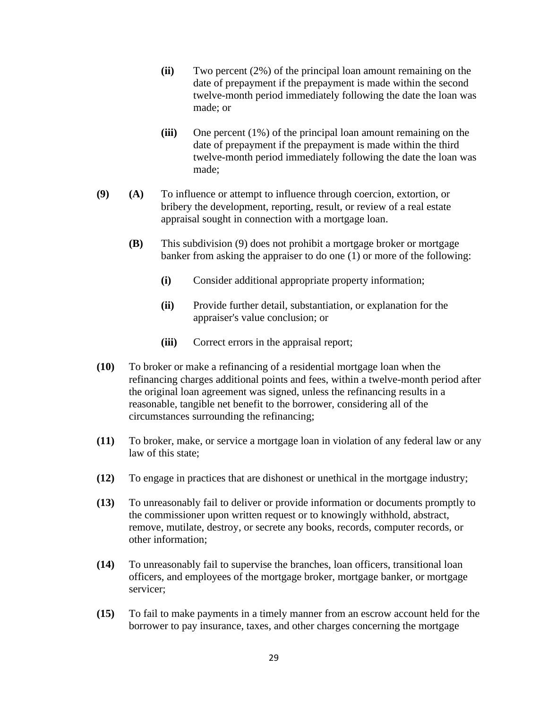- **(ii)** Two percent (2%) of the principal loan amount remaining on the date of prepayment if the prepayment is made within the second twelve-month period immediately following the date the loan was made; or
- **(iii)** One percent (1%) of the principal loan amount remaining on the date of prepayment if the prepayment is made within the third twelve-month period immediately following the date the loan was made;
- **(9) (A)** To influence or attempt to influence through coercion, extortion, or bribery the development, reporting, result, or review of a real estate appraisal sought in connection with a mortgage loan.
	- **(B)** This subdivision (9) does not prohibit a mortgage broker or mortgage banker from asking the appraiser to do one (1) or more of the following:
		- **(i)** Consider additional appropriate property information;
		- **(ii)** Provide further detail, substantiation, or explanation for the appraiser's value conclusion; or
		- **(iii)** Correct errors in the appraisal report;
- **(10)** To broker or make a refinancing of a residential mortgage loan when the refinancing charges additional points and fees, within a twelve-month period after the original loan agreement was signed, unless the refinancing results in a reasonable, tangible net benefit to the borrower, considering all of the circumstances surrounding the refinancing;
- **(11)** To broker, make, or service a mortgage loan in violation of any federal law or any law of this state;
- **(12)** To engage in practices that are dishonest or unethical in the mortgage industry;
- **(13)** To unreasonably fail to deliver or provide information or documents promptly to the commissioner upon written request or to knowingly withhold, abstract, remove, mutilate, destroy, or secrete any books, records, computer records, or other information;
- **(14)** To unreasonably fail to supervise the branches, loan officers, transitional loan officers, and employees of the mortgage broker, mortgage banker, or mortgage servicer;
- **(15)** To fail to make payments in a timely manner from an escrow account held for the borrower to pay insurance, taxes, and other charges concerning the mortgage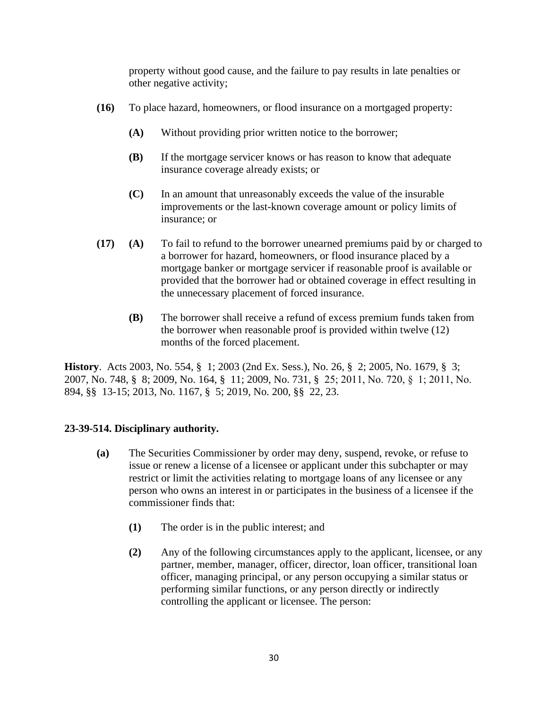property without good cause, and the failure to pay results in late penalties or other negative activity;

- **(16)** To place hazard, homeowners, or flood insurance on a mortgaged property:
	- **(A)** Without providing prior written notice to the borrower;
	- **(B)** If the mortgage servicer knows or has reason to know that adequate insurance coverage already exists; or
	- **(C)** In an amount that unreasonably exceeds the value of the insurable improvements or the last-known coverage amount or policy limits of insurance; or
- **(17) (A)** To fail to refund to the borrower unearned premiums paid by or charged to a borrower for hazard, homeowners, or flood insurance placed by a mortgage banker or mortgage servicer if reasonable proof is available or provided that the borrower had or obtained coverage in effect resulting in the unnecessary placement of forced insurance.
	- **(B)** The borrower shall receive a refund of excess premium funds taken from the borrower when reasonable proof is provided within twelve (12) months of the forced placement.

**History**. Acts 2003, No. 554, § 1; 2003 (2nd Ex. Sess.), No. 26, § 2; 2005, No. 1679, § 3; 2007, No. 748, § 8; 2009, No. 164, § 11; 2009, No. 731, § 25; 2011, No. 720, §  1; 2011, No. 894, §§ 13-15; 2013, No. 1167, § 5; 2019, No. 200, §§ 22, 23.

#### **23-39-514. Disciplinary authority.**

- **(a)** The Securities Commissioner by order may deny, suspend, revoke, or refuse to issue or renew a license of a licensee or applicant under this subchapter or may restrict or limit the activities relating to mortgage loans of any licensee or any person who owns an interest in or participates in the business of a licensee if the commissioner finds that:
	- **(1)** The order is in the public interest; and
	- **(2)** Any of the following circumstances apply to the applicant, licensee, or any partner, member, manager, officer, director, loan officer, transitional loan officer, managing principal, or any person occupying a similar status or performing similar functions, or any person directly or indirectly controlling the applicant or licensee. The person: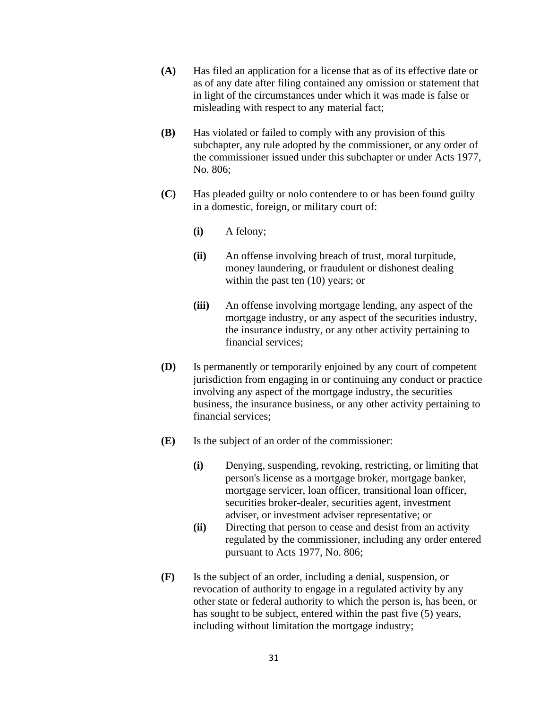- **(A)** Has filed an application for a license that as of its effective date or as of any date after filing contained any omission or statement that in light of the circumstances under which it was made is false or misleading with respect to any material fact;
- **(B)** Has violated or failed to comply with any provision of this subchapter, any rule adopted by the commissioner, or any order of the commissioner issued under this subchapter or under Acts 1977, No. 806;
- **(C)** Has pleaded guilty or nolo contendere to or has been found guilty in a domestic, foreign, or military court of:
	- **(i)** A felony;
	- **(ii)** An offense involving breach of trust, moral turpitude, money laundering, or fraudulent or dishonest dealing within the past ten (10) years; or
	- **(iii)** An offense involving mortgage lending, any aspect of the mortgage industry, or any aspect of the securities industry, the insurance industry, or any other activity pertaining to financial services;
- **(D)** Is permanently or temporarily enjoined by any court of competent jurisdiction from engaging in or continuing any conduct or practice involving any aspect of the mortgage industry, the securities business, the insurance business, or any other activity pertaining to financial services;
- **(E)** Is the subject of an order of the commissioner:
	- **(i)** Denying, suspending, revoking, restricting, or limiting that person's license as a mortgage broker, mortgage banker, mortgage servicer, loan officer, transitional loan officer, securities broker-dealer, securities agent, investment adviser, or investment adviser representative; or
	- **(ii)** Directing that person to cease and desist from an activity regulated by the commissioner, including any order entered pursuant to Acts 1977, No. 806;
- **(F)** Is the subject of an order, including a denial, suspension, or revocation of authority to engage in a regulated activity by any other state or federal authority to which the person is, has been, or has sought to be subject, entered within the past five (5) years, including without limitation the mortgage industry;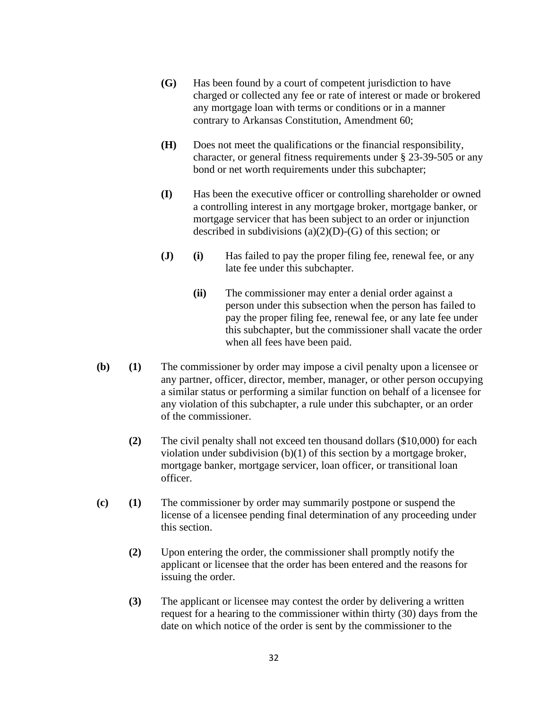- **(G)** Has been found by a court of competent jurisdiction to have charged or collected any fee or rate of interest or made or brokered any mortgage loan with terms or conditions or in a manner contrary to Arkansas Constitution, Amendment 60;
- **(H)** Does not meet the qualifications or the financial responsibility, character, or general fitness requirements under § 23-39-505 or any bond or net worth requirements under this subchapter;
- **(I)** Has been the executive officer or controlling shareholder or owned a controlling interest in any mortgage broker, mortgage banker, or mortgage servicer that has been subject to an order or injunction described in subdivisions  $(a)(2)(D)-(G)$  of this section; or
- **(J)** (i) Has failed to pay the proper filing fee, renewal fee, or any late fee under this subchapter.
	- **(ii)** The commissioner may enter a denial order against a person under this subsection when the person has failed to pay the proper filing fee, renewal fee, or any late fee under this subchapter, but the commissioner shall vacate the order when all fees have been paid.
- **(b) (1)** The commissioner by order may impose a civil penalty upon a licensee or any partner, officer, director, member, manager, or other person occupying a similar status or performing a similar function on behalf of a licensee for any violation of this subchapter, a rule under this subchapter, or an order of the commissioner.
	- **(2)** The civil penalty shall not exceed ten thousand dollars (\$10,000) for each violation under subdivision (b)(1) of this section by a mortgage broker, mortgage banker, mortgage servicer, loan officer, or transitional loan officer.
- **(c) (1)** The commissioner by order may summarily postpone or suspend the license of a licensee pending final determination of any proceeding under this section.
	- **(2)** Upon entering the order, the commissioner shall promptly notify the applicant or licensee that the order has been entered and the reasons for issuing the order.
	- **(3)** The applicant or licensee may contest the order by delivering a written request for a hearing to the commissioner within thirty (30) days from the date on which notice of the order is sent by the commissioner to the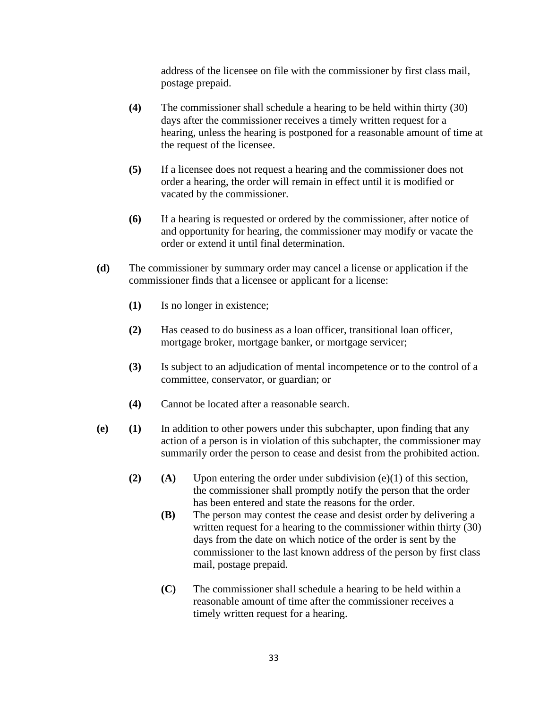address of the licensee on file with the commissioner by first class mail, postage prepaid.

- **(4)** The commissioner shall schedule a hearing to be held within thirty (30) days after the commissioner receives a timely written request for a hearing, unless the hearing is postponed for a reasonable amount of time at the request of the licensee.
- **(5)** If a licensee does not request a hearing and the commissioner does not order a hearing, the order will remain in effect until it is modified or vacated by the commissioner.
- **(6)** If a hearing is requested or ordered by the commissioner, after notice of and opportunity for hearing, the commissioner may modify or vacate the order or extend it until final determination.
- **(d)** The commissioner by summary order may cancel a license or application if the commissioner finds that a licensee or applicant for a license:
	- **(1)** Is no longer in existence;
	- **(2)** Has ceased to do business as a loan officer, transitional loan officer, mortgage broker, mortgage banker, or mortgage servicer;
	- **(3)** Is subject to an adjudication of mental incompetence or to the control of a committee, conservator, or guardian; or
	- **(4)** Cannot be located after a reasonable search.
- **(e) (1)** In addition to other powers under this subchapter, upon finding that any action of a person is in violation of this subchapter, the commissioner may summarily order the person to cease and desist from the prohibited action.
	- **(2) (A)** Upon entering the order under subdivision (e)(1) of this section, the commissioner shall promptly notify the person that the order has been entered and state the reasons for the order.
		- **(B)** The person may contest the cease and desist order by delivering a written request for a hearing to the commissioner within thirty (30) days from the date on which notice of the order is sent by the commissioner to the last known address of the person by first class mail, postage prepaid.
		- **(C)** The commissioner shall schedule a hearing to be held within a reasonable amount of time after the commissioner receives a timely written request for a hearing.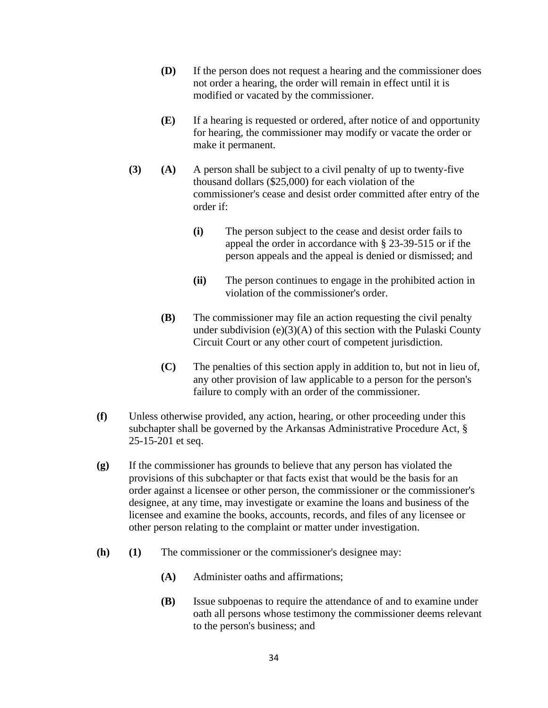- **(D)** If the person does not request a hearing and the commissioner does not order a hearing, the order will remain in effect until it is modified or vacated by the commissioner.
- **(E)** If a hearing is requested or ordered, after notice of and opportunity for hearing, the commissioner may modify or vacate the order or make it permanent.
- **(3) (A)** A person shall be subject to a civil penalty of up to twenty-five thousand dollars (\$25,000) for each violation of the commissioner's cease and desist order committed after entry of the order if:
	- **(i)** The person subject to the cease and desist order fails to appeal the order in accordance with § 23-39-515 or if the person appeals and the appeal is denied or dismissed; and
	- **(ii)** The person continues to engage in the prohibited action in violation of the commissioner's order.
	- **(B)** The commissioner may file an action requesting the civil penalty under subdivision  $(e)(3)(A)$  of this section with the Pulaski County Circuit Court or any other court of competent jurisdiction.
	- **(C)** The penalties of this section apply in addition to, but not in lieu of, any other provision of law applicable to a person for the person's failure to comply with an order of the commissioner.
- **(f)** Unless otherwise provided, any action, hearing, or other proceeding under this subchapter shall be governed by the Arkansas Administrative Procedure Act, § 25-15-201 et seq.
- **(g)** If the commissioner has grounds to believe that any person has violated the provisions of this subchapter or that facts exist that would be the basis for an order against a licensee or other person, the commissioner or the commissioner's designee, at any time, may investigate or examine the loans and business of the licensee and examine the books, accounts, records, and files of any licensee or other person relating to the complaint or matter under investigation.
- **(h) (1)** The commissioner or the commissioner's designee may:
	- **(A)** Administer oaths and affirmations;
	- **(B)** Issue subpoenas to require the attendance of and to examine under oath all persons whose testimony the commissioner deems relevant to the person's business; and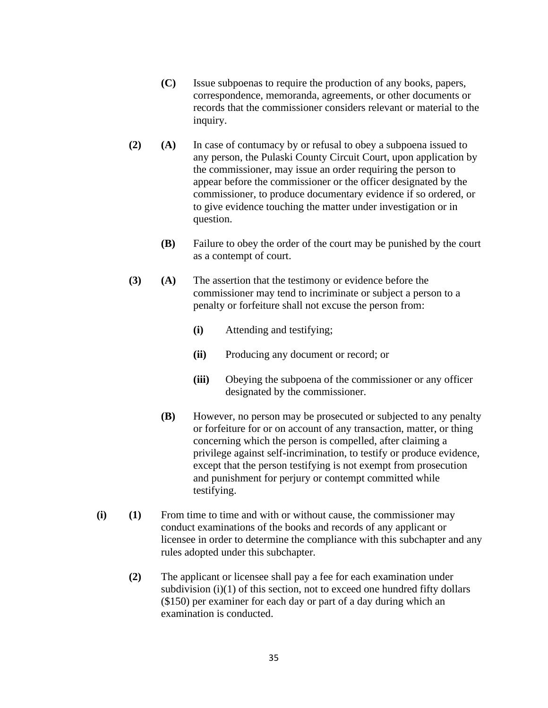- **(C)** Issue subpoenas to require the production of any books, papers, correspondence, memoranda, agreements, or other documents or records that the commissioner considers relevant or material to the inquiry.
- **(2) (A)** In case of contumacy by or refusal to obey a subpoena issued to any person, the Pulaski County Circuit Court, upon application by the commissioner, may issue an order requiring the person to appear before the commissioner or the officer designated by the commissioner, to produce documentary evidence if so ordered, or to give evidence touching the matter under investigation or in question.
	- **(B)** Failure to obey the order of the court may be punished by the court as a contempt of court.
- **(3) (A)** The assertion that the testimony or evidence before the commissioner may tend to incriminate or subject a person to a penalty or forfeiture shall not excuse the person from:
	- **(i)** Attending and testifying;
	- **(ii)** Producing any document or record; or
	- **(iii)** Obeying the subpoena of the commissioner or any officer designated by the commissioner.
	- **(B)** However, no person may be prosecuted or subjected to any penalty or forfeiture for or on account of any transaction, matter, or thing concerning which the person is compelled, after claiming a privilege against self-incrimination, to testify or produce evidence, except that the person testifying is not exempt from prosecution and punishment for perjury or contempt committed while testifying.
- **(i) (1)** From time to time and with or without cause, the commissioner may conduct examinations of the books and records of any applicant or licensee in order to determine the compliance with this subchapter and any rules adopted under this subchapter.
	- **(2)** The applicant or licensee shall pay a fee for each examination under subdivision  $(i)(1)$  of this section, not to exceed one hundred fifty dollars (\$150) per examiner for each day or part of a day during which an examination is conducted.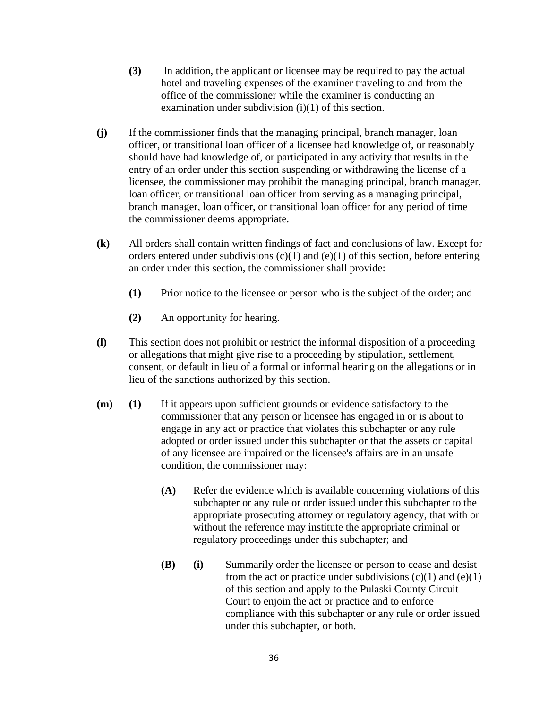- **(3)** In addition, the applicant or licensee may be required to pay the actual hotel and traveling expenses of the examiner traveling to and from the office of the commissioner while the examiner is conducting an examination under subdivision (i)(1) of this section.
- **(j)** If the commissioner finds that the managing principal, branch manager, loan officer, or transitional loan officer of a licensee had knowledge of, or reasonably should have had knowledge of, or participated in any activity that results in the entry of an order under this section suspending or withdrawing the license of a licensee, the commissioner may prohibit the managing principal, branch manager, loan officer, or transitional loan officer from serving as a managing principal, branch manager, loan officer, or transitional loan officer for any period of time the commissioner deems appropriate.
- **(k)** All orders shall contain written findings of fact and conclusions of law. Except for orders entered under subdivisions  $(c)(1)$  and  $(e)(1)$  of this section, before entering an order under this section, the commissioner shall provide:
	- **(1)** Prior notice to the licensee or person who is the subject of the order; and
	- **(2)** An opportunity for hearing.
- **(l)** This section does not prohibit or restrict the informal disposition of a proceeding or allegations that might give rise to a proceeding by stipulation, settlement, consent, or default in lieu of a formal or informal hearing on the allegations or in lieu of the sanctions authorized by this section.
- **(m) (1)** If it appears upon sufficient grounds or evidence satisfactory to the commissioner that any person or licensee has engaged in or is about to engage in any act or practice that violates this subchapter or any rule adopted or order issued under this subchapter or that the assets or capital of any licensee are impaired or the licensee's affairs are in an unsafe condition, the commissioner may:
	- **(A)** Refer the evidence which is available concerning violations of this subchapter or any rule or order issued under this subchapter to the appropriate prosecuting attorney or regulatory agency, that with or without the reference may institute the appropriate criminal or regulatory proceedings under this subchapter; and
	- **(B) (i)** Summarily order the licensee or person to cease and desist from the act or practice under subdivisions  $(c)(1)$  and  $(e)(1)$ of this section and apply to the Pulaski County Circuit Court to enjoin the act or practice and to enforce compliance with this subchapter or any rule or order issued under this subchapter, or both.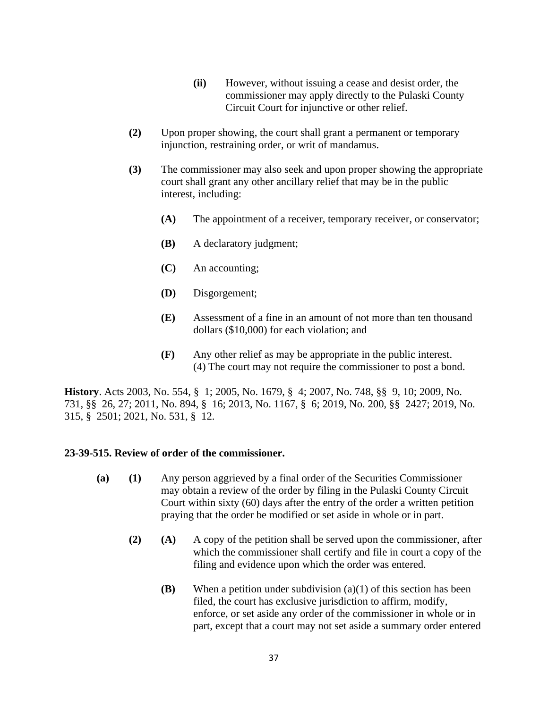- **(ii)** However, without issuing a cease and desist order, the commissioner may apply directly to the Pulaski County Circuit Court for injunctive or other relief.
- **(2)** Upon proper showing, the court shall grant a permanent or temporary injunction, restraining order, or writ of mandamus.
- **(3)** The commissioner may also seek and upon proper showing the appropriate court shall grant any other ancillary relief that may be in the public interest, including:
	- **(A)** The appointment of a receiver, temporary receiver, or conservator;
	- **(B)** A declaratory judgment;
	- **(C)** An accounting;
	- **(D)** Disgorgement;
	- **(E)** Assessment of a fine in an amount of not more than ten thousand dollars (\$10,000) for each violation; and
	- **(F)** Any other relief as may be appropriate in the public interest. (4) The court may not require the commissioner to post a bond.

**History**. Acts 2003, No. 554, § 1; 2005, No. 1679, § 4; 2007, No. 748, §§ 9, 10; 2009, No. 731, §§ 26, 27; 2011, No. 894, § 16; 2013, No. 1167, § 6; 2019, No. 200, §§ 2427; 2019, No. 315, § 2501; 2021, No. 531, § 12.

#### **23-39-515. Review of order of the commissioner.**

- **(a) (1)** Any person aggrieved by a final order of the Securities Commissioner may obtain a review of the order by filing in the Pulaski County Circuit Court within sixty (60) days after the entry of the order a written petition praying that the order be modified or set aside in whole or in part.
	- **(2) (A)** A copy of the petition shall be served upon the commissioner, after which the commissioner shall certify and file in court a copy of the filing and evidence upon which the order was entered.
		- **(B)** When a petition under subdivision (a)(1) of this section has been filed, the court has exclusive jurisdiction to affirm, modify, enforce, or set aside any order of the commissioner in whole or in part, except that a court may not set aside a summary order entered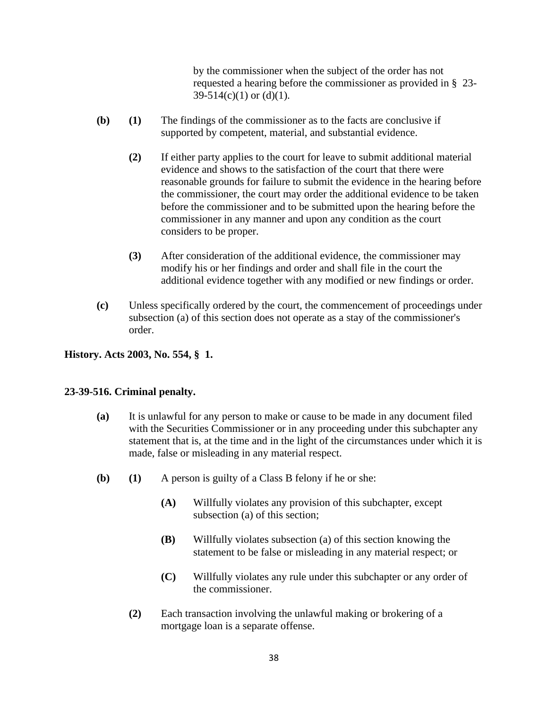by the commissioner when the subject of the order has not requested a hearing before the commissioner as provided in § 23-  $39-514(c)(1)$  or  $(d)(1)$ .

- **(b) (1)** The findings of the commissioner as to the facts are conclusive if supported by competent, material, and substantial evidence.
	- **(2)** If either party applies to the court for leave to submit additional material evidence and shows to the satisfaction of the court that there were reasonable grounds for failure to submit the evidence in the hearing before the commissioner, the court may order the additional evidence to be taken before the commissioner and to be submitted upon the hearing before the commissioner in any manner and upon any condition as the court considers to be proper.
	- **(3)** After consideration of the additional evidence, the commissioner may modify his or her findings and order and shall file in the court the additional evidence together with any modified or new findings or order.
- **(c)** Unless specifically ordered by the court, the commencement of proceedings under subsection (a) of this section does not operate as a stay of the commissioner's order.

#### **History. Acts 2003, No. 554, § 1.**

#### **23-39-516. Criminal penalty.**

- **(a)** It is unlawful for any person to make or cause to be made in any document filed with the Securities Commissioner or in any proceeding under this subchapter any statement that is, at the time and in the light of the circumstances under which it is made, false or misleading in any material respect.
- **(b) (1)** A person is guilty of a Class B felony if he or she:
	- **(A)** Willfully violates any provision of this subchapter, except subsection (a) of this section;
	- **(B)** Willfully violates subsection (a) of this section knowing the statement to be false or misleading in any material respect; or
	- **(C)** Willfully violates any rule under this subchapter or any order of the commissioner.
	- **(2)** Each transaction involving the unlawful making or brokering of a mortgage loan is a separate offense.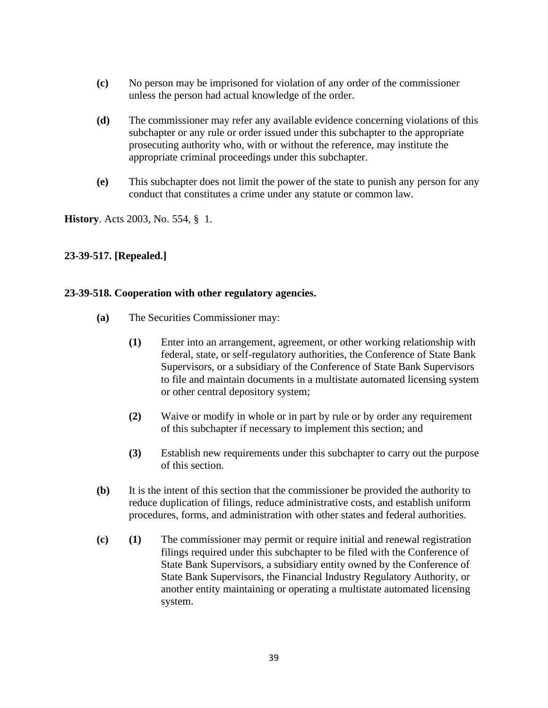- **(c)** No person may be imprisoned for violation of any order of the commissioner unless the person had actual knowledge of the order.
- **(d)** The commissioner may refer any available evidence concerning violations of this subchapter or any rule or order issued under this subchapter to the appropriate prosecuting authority who, with or without the reference, may institute the appropriate criminal proceedings under this subchapter.
- **(e)** This subchapter does not limit the power of the state to punish any person for any conduct that constitutes a crime under any statute or common law.

**History**. Acts 2003, No. 554, § 1.

## **23-39-517. [Repealed.]**

#### **23-39-518. Cooperation with other regulatory agencies.**

- **(a)** The Securities Commissioner may:
	- **(1)** Enter into an arrangement, agreement, or other working relationship with federal, state, or self-regulatory authorities, the Conference of State Bank Supervisors, or a subsidiary of the Conference of State Bank Supervisors to file and maintain documents in a multistate automated licensing system or other central depository system;
	- **(2)** Waive or modify in whole or in part by rule or by order any requirement of this subchapter if necessary to implement this section; and
	- **(3)** Establish new requirements under this subchapter to carry out the purpose of this section.
- **(b)** It is the intent of this section that the commissioner be provided the authority to reduce duplication of filings, reduce administrative costs, and establish uniform procedures, forms, and administration with other states and federal authorities.
- **(c) (1)** The commissioner may permit or require initial and renewal registration filings required under this subchapter to be filed with the Conference of State Bank Supervisors, a subsidiary entity owned by the Conference of State Bank Supervisors, the Financial Industry Regulatory Authority, or another entity maintaining or operating a multistate automated licensing system.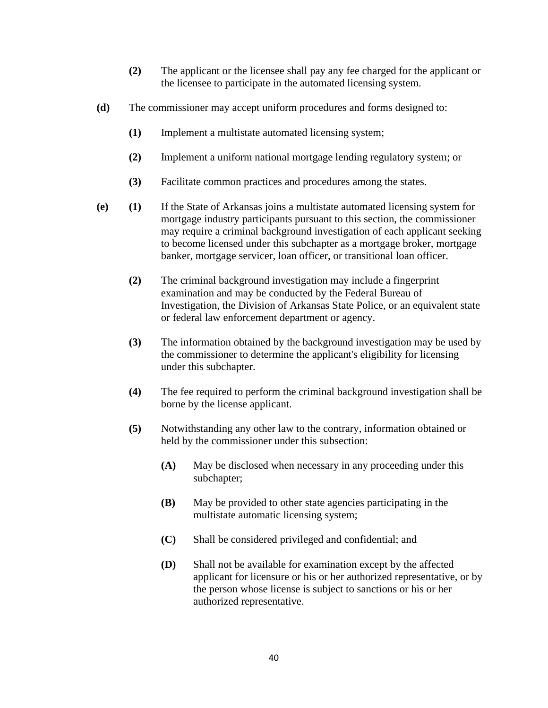- **(2)** The applicant or the licensee shall pay any fee charged for the applicant or the licensee to participate in the automated licensing system.
- **(d)** The commissioner may accept uniform procedures and forms designed to:
	- **(1)** Implement a multistate automated licensing system;
	- **(2)** Implement a uniform national mortgage lending regulatory system; or
	- **(3)** Facilitate common practices and procedures among the states.
- **(e) (1)** If the State of Arkansas joins a multistate automated licensing system for mortgage industry participants pursuant to this section, the commissioner may require a criminal background investigation of each applicant seeking to become licensed under this subchapter as a mortgage broker, mortgage banker, mortgage servicer, loan officer, or transitional loan officer.
	- **(2)** The criminal background investigation may include a fingerprint examination and may be conducted by the Federal Bureau of Investigation, the Division of Arkansas State Police, or an equivalent state or federal law enforcement department or agency.
	- **(3)** The information obtained by the background investigation may be used by the commissioner to determine the applicant's eligibility for licensing under this subchapter.
	- **(4)** The fee required to perform the criminal background investigation shall be borne by the license applicant.
	- **(5)** Notwithstanding any other law to the contrary, information obtained or held by the commissioner under this subsection:
		- **(A)** May be disclosed when necessary in any proceeding under this subchapter;
		- **(B)** May be provided to other state agencies participating in the multistate automatic licensing system;
		- **(C)** Shall be considered privileged and confidential; and
		- **(D)** Shall not be available for examination except by the affected applicant for licensure or his or her authorized representative, or by the person whose license is subject to sanctions or his or her authorized representative.